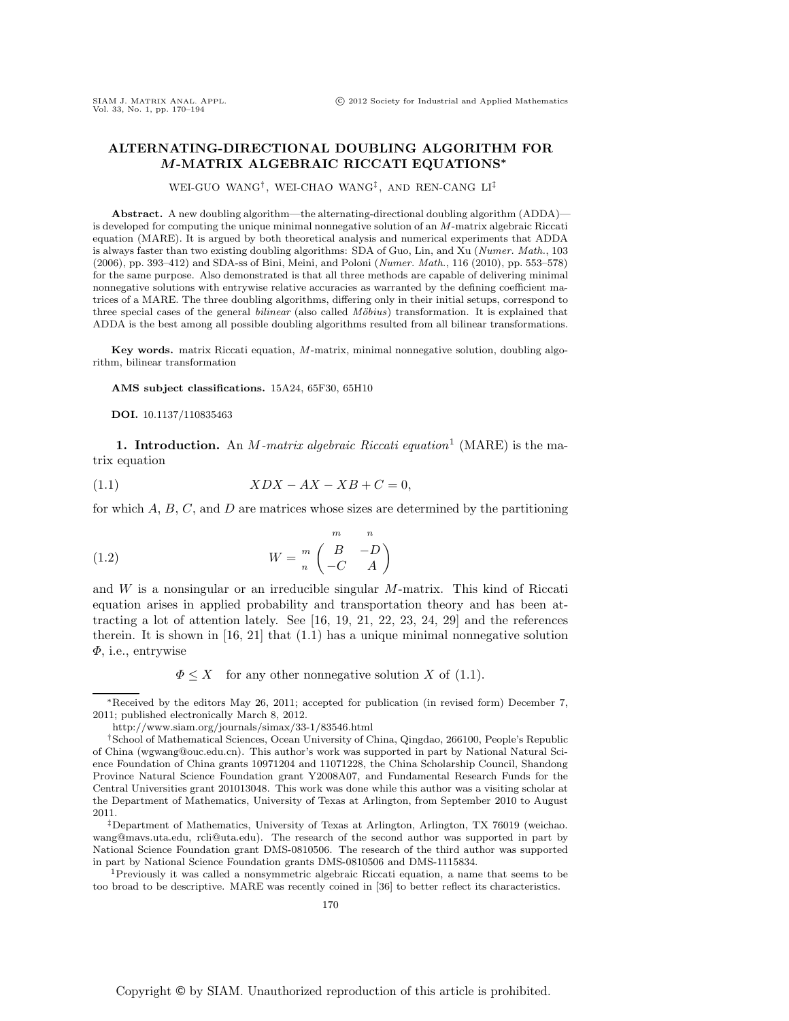## **ALTERNATING-DIRECTIONAL DOUBLING ALGORITHM FOR** *M***-MATRIX ALGEBRAIC RICCATI EQUATIONS***<sup>∗</sup>*

WEI-GUO WANG† , WEI-CHAO WANG‡ , AND REN-CANG LI‡

**Abstract.** A new doubling algorithm—the alternating-directional doubling algorithm (ADDA) is developed for computing the unique minimal nonnegative solution of an M-matrix algebraic Riccati equation (MARE). It is argued by both theoretical analysis and numerical experiments that ADDA is always faster than two existing doubling algorithms: SDA of Guo, Lin, and Xu (Numer. Math., 103 (2006), pp. 393–412) and SDA-ss of Bini, Meini, and Poloni (Numer. Math., 116 (2010), pp. 553–578) for the same purpose. Also demonstrated is that all three methods are capable of delivering minimal nonnegative solutions with entrywise relative accuracies as warranted by the defining coefficient matrices of a MARE. The three doubling algorithms, differing only in their initial setups, correspond to three special cases of the general *bilinear* (also called *Möbius*) transformation. It is explained that ADDA is the best among all possible doubling algorithms resulted from all bilinear transformations.

**Key words.** matrix Riccati equation, M-matrix, minimal nonnegative solution, doubling algorithm, bilinear transformation

**AMS subject classifications.** 15A24, 65F30, 65H10

**DOI.** 10.1137/110835463

**1. Introduction.** An M*-matrix algebraic Riccati equation*<sup>1</sup> (MARE) is the matrix equation

$$
(1.1)\t\t XDX - AX - XB + C = 0,
$$

for which  $A, B, C$ , and  $D$  are matrices whose sizes are determined by the partitioning

(1.2) 
$$
W = \begin{pmatrix} m & n \\ m \\ n & -C \end{pmatrix}
$$

and W is a nonsingular or an irreducible singular M-matrix. This kind of Riccati equation arises in applied probability and transportation theory and has been attracting a lot of attention lately. See [16, 19, 21, 22, 23, 24, 29] and the references therein. It is shown in  $[16, 21]$  that  $(1.1)$  has a unique minimal nonnegative solution Φ, i.e., entrywise

 $\Phi \leq X$  for any other nonnegative solution X of (1.1).

too broad to be descriptive. MARE was recently coined in [36] to better reflect its characteristics.

<sup>∗</sup>Received by the editors May 26, 2011; accepted for publication (in revised form) December 7, 2011; published electronically March 8, 2012.

http://www.siam.org/journals/simax/33-1/83546.html

<sup>†</sup>School of Mathematical Sciences, Ocean University of China, Qingdao, 266100, People's Republic of China (wgwang@ouc.edu.cn). This author's work was supported in part by National Natural Science Foundation of China grants 10971204 and 11071228, the China Scholarship Council, Shandong Province Natural Science Foundation grant Y2008A07, and Fundamental Research Funds for the Central Universities grant 201013048. This work was done while this author was a visiting scholar at the Department of Mathematics, University of Texas at Arlington, from September 2010 to August 2011.

<sup>‡</sup>Department of Mathematics, University of Texas at Arlington, Arlington, TX 76019 (weichao. wang@mavs.uta.edu, rcli@uta.edu). The research of the second author was supported in part by National Science Foundation grant DMS-0810506. The research of the third author was supported in part by National Science Foundation grants DMS-0810506 and DMS-1115834.<br><sup>1</sup>Previously it was called a nonsymmetric algebraic Riccati equation, a name that seems to be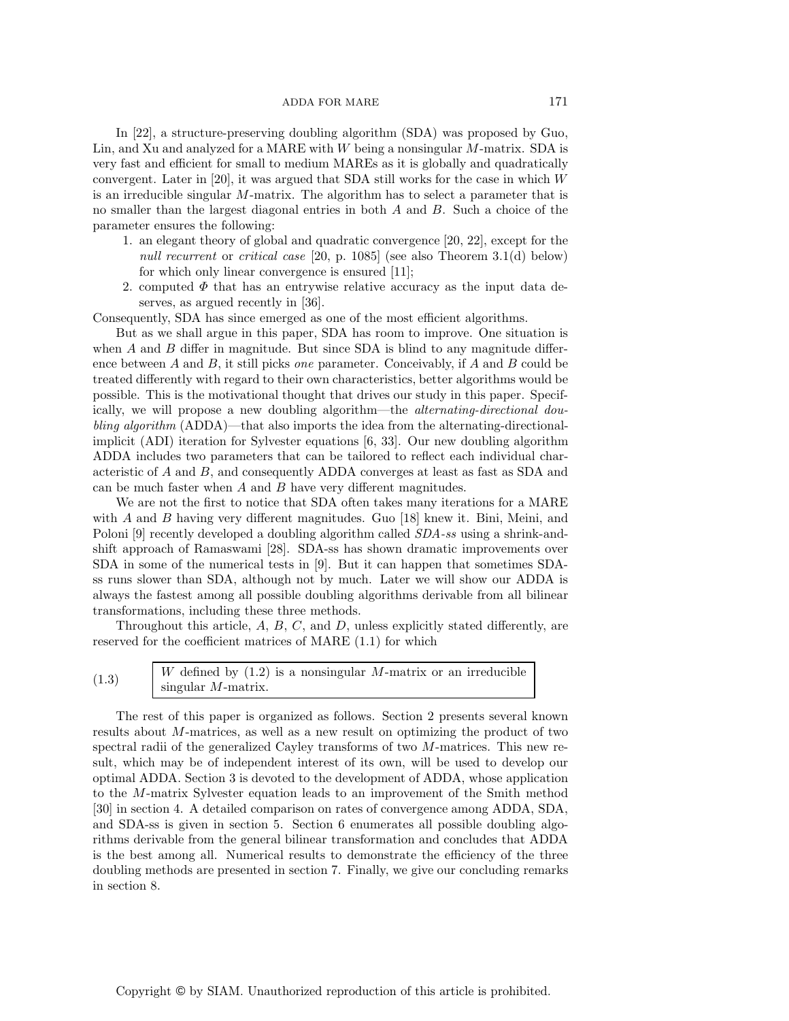In [22], a structure-preserving doubling algorithm (SDA) was proposed by Guo, Lin, and Xu and analyzed for a MARE with  $W$  being a nonsingular  $M$ -matrix. SDA is very fast and efficient for small to medium MAREs as it is globally and quadratically convergent. Later in [20], it was argued that SDA still works for the case in which  $W$ is an irreducible singular M-matrix. The algorithm has to select a parameter that is no smaller than the largest diagonal entries in both A and B. Such a choice of the parameter ensures the following:

- 1. an elegant theory of global and quadratic convergence [20, 22], except for the *null recurrent* or *critical case* [20, p. 1085] (see also Theorem 3.1(d) below) for which only linear convergence is ensured [11];
- 2. computed  $\Phi$  that has an entrywise relative accuracy as the input data deserves, as argued recently in [36].

Consequently, SDA has since emerged as one of the most efficient algorithms.

But as we shall argue in this paper, SDA has room to improve. One situation is when  $A$  and  $B$  differ in magnitude. But since SDA is blind to any magnitude difference between A and B, it still picks *one* parameter. Conceivably, if A and B could be treated differently with regard to their own characteristics, better algorithms would be possible. This is the motivational thought that drives our study in this paper. Specifically, we will propose a new doubling algorithm—the *alternating-directional doubling algorithm* (ADDA)—that also imports the idea from the alternating-directionalimplicit (ADI) iteration for Sylvester equations [6, 33]. Our new doubling algorithm ADDA includes two parameters that can be tailored to reflect each individual characteristic of A and B, and consequently ADDA converges at least as fast as SDA and can be much faster when  $A$  and  $B$  have very different magnitudes.

We are not the first to notice that SDA often takes many iterations for a MARE with A and B having very different magnitudes. Guo [18] knew it. Bini, Meini, and Poloni [9] recently developed a doubling algorithm called *SDA-ss* using a shrink-andshift approach of Ramaswami [28]. SDA-ss has shown dramatic improvements over SDA in some of the numerical tests in [9]. But it can happen that sometimes SDAss runs slower than SDA, although not by much. Later we will show our ADDA is always the fastest among all possible doubling algorithms derivable from all bilinear transformations, including these three methods.

Throughout this article,  $A$ ,  $B$ ,  $C$ , and  $D$ , unless explicitly stated differently, are reserved for the coefficient matrices of MARE (1.1) for which

| (1.3) | <i>W</i> defined by $(1.2)$ is a nonsingular M-matrix or an irreducible |
|-------|-------------------------------------------------------------------------|
|       | $\sin{\text{gular}}$ M-matrix.                                          |
|       |                                                                         |

The rest of this paper is organized as follows. Section 2 presents several known results about M-matrices, as well as a new result on optimizing the product of two spectral radii of the generalized Cayley transforms of two M-matrices. This new result, which may be of independent interest of its own, will be used to develop our optimal ADDA. Section 3 is devoted to the development of ADDA, whose application to the M-matrix Sylvester equation leads to an improvement of the Smith method [30] in section 4. A detailed comparison on rates of convergence among ADDA, SDA, and SDA-ss is given in section 5. Section 6 enumerates all possible doubling algorithms derivable from the general bilinear transformation and concludes that ADDA is the best among all. Numerical results to demonstrate the efficiency of the three doubling methods are presented in section 7. Finally, we give our concluding remarks in section 8.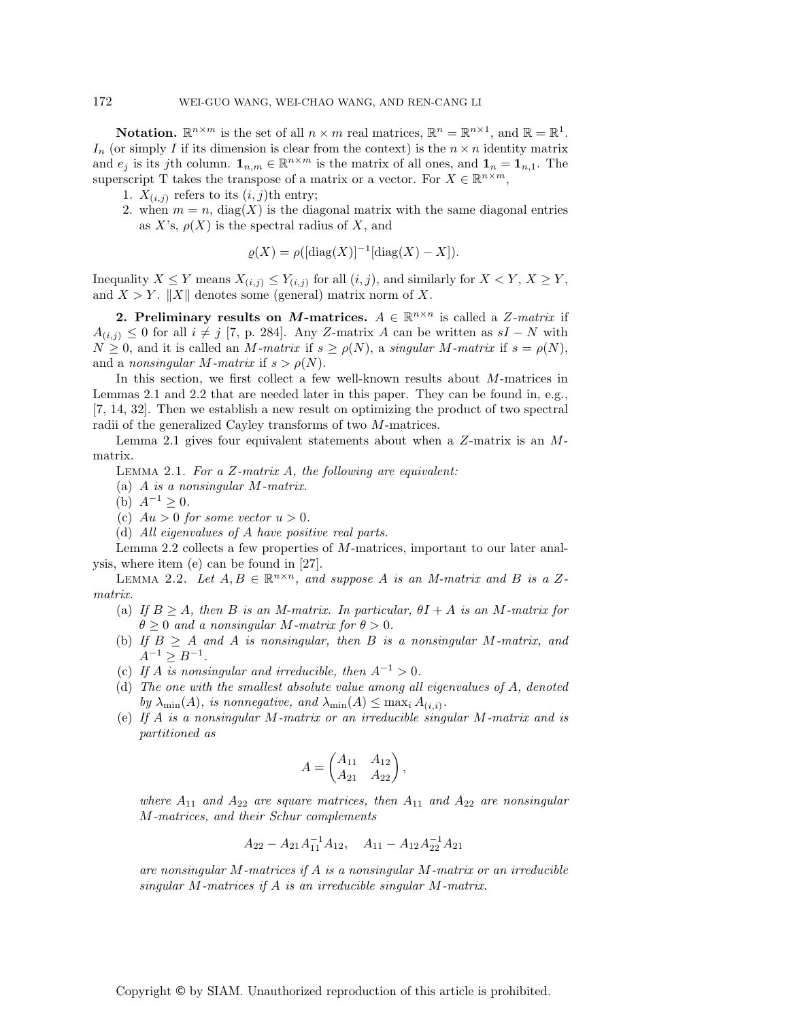**Notation.**  $\mathbb{R}^{n \times m}$  is the set of all  $n \times m$  real matrices,  $\mathbb{R}^n = \mathbb{R}^{n \times 1}$ , and  $\mathbb{R} = \mathbb{R}^1$ .  $I_n$  (or simply I if its dimension is clear from the context) is the  $n \times n$  identity matrix and  $e_j$  is its jth column.  $\mathbf{1}_{n,m} \in \mathbb{R}^{n \times m}$  is the matrix of all ones, and  $\mathbf{1}_n = \mathbf{1}_{n,1}$ . The superscript T takes the transpose of a matrix or a vector. For  $X \in \mathbb{R}^{n \times m}$ ,

- 1.  $X_{(i,j)}$  refers to its  $(i,j)$ th entry;
- 2. when  $m = n$ , diag(X) is the diagonal matrix with the same diagonal entries as X's,  $\rho(X)$  is the spectral radius of X, and

$$
\varrho(X) = \rho([\mathrm{diag}(X)]^{-1}[\mathrm{diag}(X) - X]).
$$

Inequality  $X \leq Y$  means  $X_{(i,j)} \leq Y_{(i,j)}$  for all  $(i,j)$ , and similarly for  $X \leq Y$ ,  $X \geq Y$ , and  $X>Y$ . ||X|| denotes some (general) matrix norm of X.

**2. Preliminary results on** *M***-matrices.**  $A \in \mathbb{R}^{n \times n}$  is called a Z-matrix if  $A_{(i,j)} \leq 0$  for all  $i \neq j$  [7, p. 284]. Any Z-matrix A can be written as  $sI - N$  with  $N \geq 0$ , and it is called an M-matrix if  $s \geq \rho(N)$ , a *singular* M-matrix if  $s = \rho(N)$ , and a *nonsingular M-matrix* if  $s > \rho(N)$ .

In this section, we first collect a few well-known results about M-matrices in Lemmas 2.1 and 2.2 that are needed later in this paper. They can be found in, e.g., [7, 14, 32]. Then we establish a new result on optimizing the product of two spectral radii of the generalized Cayley transforms of two M-matrices.

Lemma 2.1 gives four equivalent statements about when a Z-matrix is an Mmatrix.

Lemma 2.1. *For a* Z*-matrix* A*, the following are equivalent:*

- (a) A *is a nonsingular* M*-matrix.*
- (b)  $A^{-1} \geq 0$ .
- (c)  $Au > 0$  *for some vector*  $u > 0$ *.*
- (d) *All eigenvalues of* A *have positive real parts.*

Lemma 2.2 collects a few properties of M-matrices, important to our later analysis, where item (e) can be found in [27].

LEMMA 2.2. Let  $A, B \in \mathbb{R}^{n \times n}$ , and suppose A is an M-matrix and B is a Z*matrix.*

- (a) If  $B \geq A$ , then B is an M-matrix. In particular,  $\theta I + A$  is an M-matrix for  $\theta > 0$  *and a nonsingular M-matrix for*  $\theta > 0$ *.*
- (b) *If* B <sup>≥</sup> A *and* A *is nonsingular, then* B *is a nonsingular* M*-matrix, and*  $A^{-1} \ge B^{-1}$ .
- (c) If A is nonsingular and irreducible, then  $A^{-1} > 0$ .
- (d) *The one with the smallest absolute value among all eigenvalues of* A*, denoted* by  $\lambda_{\min}(A)$ *, is nonnegative, and*  $\lambda_{\min}(A) \leq \max_i A_{(i,i)}$ *.*
- (e) *If* A *is a nonsingular* M*-matrix or an irreducible singular* M*-matrix and is partitioned as*

$$
A = \begin{pmatrix} A_{11} & A_{12} \\ A_{21} & A_{22} \end{pmatrix},
$$

*where*  $A_{11}$  *and*  $A_{22}$  *are square matrices, then*  $A_{11}$  *and*  $A_{22}$  *are nonsingular* M*-matrices, and their Schur complements*

$$
A_{22} - A_{21}A_{11}^{-1}A_{12}, \quad A_{11} - A_{12}A_{22}^{-1}A_{21}
$$

*are nonsingular* M*-matrices if* A *is a nonsingular* M*-matrix or an irreducible singular* M*-matrices if* A *is an irreducible singular* M*-matrix.*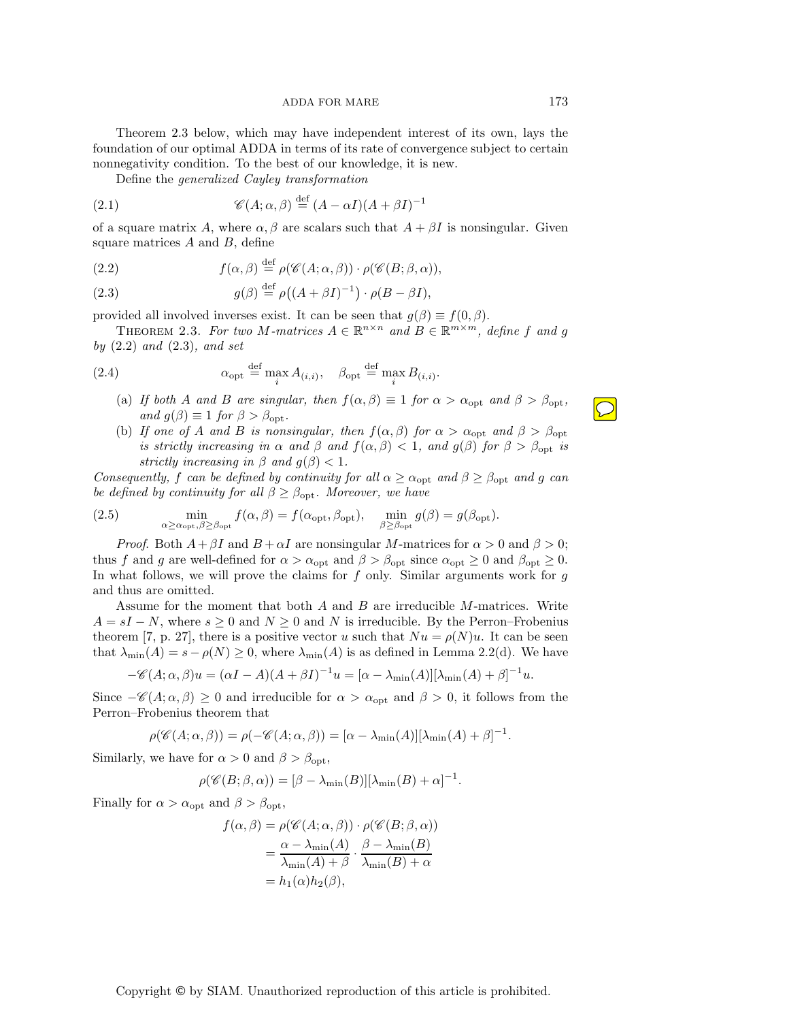Theorem 2.3 below, which may have independent interest of its own, lays the foundation of our optimal ADDA in terms of its rate of convergence subject to certain nonnegativity condition. To the best of our knowledge, it is new.

Define the *generalized Cayley transformation*

(2.1) 
$$
\mathscr{C}(A; \alpha, \beta) \stackrel{\text{def}}{=} (A - \alpha I)(A + \beta I)^{-1}
$$

of a square matrix A, where  $\alpha, \beta$  are scalars such that  $A + \beta I$  is nonsingular. Given square matrices  $A$  and  $B$ , define

(2.2) 
$$
f(\alpha, \beta) \stackrel{\text{def}}{=} \rho(\mathscr{C}(A; \alpha, \beta)) \cdot \rho(\mathscr{C}(B; \beta, \alpha)),
$$

(2.3) 
$$
g(\beta) \stackrel{\text{def}}{=} \rho((A + \beta I)^{-1}) \cdot \rho(B - \beta I),
$$

provided all involved inverses exist. It can be seen that  $q(\beta) \equiv f(0, \beta)$ .

THEOREM 2.3. For two M-matrices  $A \in \mathbb{R}^{n \times n}$  and  $B \in \mathbb{R}^{m \times m}$ , define f and g *by* (2.2) *and* (2.3)*, and set*

(2.4) 
$$
\alpha_{\text{opt}} \stackrel{\text{def}}{=} \max_{i} A_{(i,i)}, \quad \beta_{\text{opt}} \stackrel{\text{def}}{=} \max_{i} B_{(i,i)}.
$$

- (a) *If both* A *and* B *are singular, then*  $f(\alpha, \beta) \equiv 1$  *for*  $\alpha > \alpha_{\text{opt}}$  *and*  $\beta > \beta_{\text{opt}}$ *, and*  $g(\beta) \equiv 1$  *for*  $\beta > \beta_{\text{opt}}$ *.*
- (b) *If one of* A *and* B *is nonsingular, then*  $f(\alpha, \beta)$  *for*  $\alpha > \alpha_{\text{opt}}$  *and*  $\beta > \beta_{\text{opt}}$ *is strictly increasing in*  $\alpha$  *and*  $\beta$  *and*  $f(\alpha, \beta) < 1$ *, and*  $g(\beta)$  *for*  $\beta > \beta_{\text{opt}}$  *is strictly increasing in*  $\beta$  *and*  $g(\beta) < 1$ *.*

*Consequently,* f *can be defined by continuity for all*  $\alpha \ge \alpha_{\text{opt}}$  *and*  $\beta \ge \beta_{\text{opt}}$  *and* g *can be defined by continuity for all*  $\beta \geq \beta_{\text{opt}}$ *. Moreover, we have* 

(2.5) 
$$
\min_{\alpha \ge \alpha_{\rm opt}, \beta \ge \beta_{\rm opt}} f(\alpha, \beta) = f(\alpha_{\rm opt}, \beta_{\rm opt}), \quad \min_{\beta \ge \beta_{\rm opt}} g(\beta) = g(\beta_{\rm opt}).
$$

*Proof.* Both  $A + \beta I$  and  $B + \alpha I$  are nonsingular M-matrices for  $\alpha > 0$  and  $\beta > 0$ ; thus f and g are well-defined for  $\alpha > \alpha_{\text{opt}}$  and  $\beta > \beta_{\text{opt}}$  since  $\alpha_{\text{opt}} \ge 0$  and  $\beta_{\text{opt}} \ge 0$ . In what follows, we will prove the claims for  $f$  only. Similar arguments work for  $g$ and thus are omitted.

Assume for the moment that both  $A$  and  $B$  are irreducible  $M$ -matrices. Write  $A = sI - N$ , where  $s \geq 0$  and  $N \geq 0$  and N is irreducible. By the Perron–Frobenius theorem [7, p. 27], there is a positive vector u such that  $Nu = \rho(N)u$ . It can be seen that  $\lambda_{\min}(A) = s - \rho(N) \geq 0$ , where  $\lambda_{\min}(A)$  is as defined in Lemma 2.2(d). We have

$$
-\mathscr{C}(A;\alpha,\beta)u = (\alpha I - A)(A + \beta I)^{-1}u = [\alpha - \lambda_{\min}(A)][\lambda_{\min}(A) + \beta]^{-1}u.
$$

Since  $-\mathcal{C}(A; \alpha, \beta) \ge 0$  and irreducible for  $\alpha > \alpha_{\text{opt}}$  and  $\beta > 0$ , it follows from the Perron-Frobenius theorem that Perron–Frobenius theorem that

$$
\rho(\mathscr{C}(A;\alpha,\beta)) = \rho(-\mathscr{C}(A;\alpha,\beta)) = [\alpha - \lambda_{\min}(A)][\lambda_{\min}(A) + \beta]^{-1}.
$$

Similarly, we have for  $\alpha > 0$  and  $\beta > \beta_{\text{opt}}$ ,

$$
\rho(\mathscr{C}(B;\beta,\alpha))=[\beta-\lambda_{\min}(B)][\lambda_{\min}(B)+\alpha]^{-1}
$$

Finally for  $\alpha > \alpha_{\text{opt}}$  and  $\beta > \beta_{\text{opt}}$ ,

$$
f(\alpha, \beta) = \rho(\mathscr{C}(A; \alpha, \beta)) \cdot \rho(\mathscr{C}(B; \beta, \alpha))
$$
  
= 
$$
\frac{\alpha - \lambda_{\min}(A)}{\lambda_{\min}(A) + \beta} \cdot \frac{\beta - \lambda_{\min}(B)}{\lambda_{\min}(B) + \alpha}
$$
  
=  $h_1(\alpha)h_2(\beta)$ ,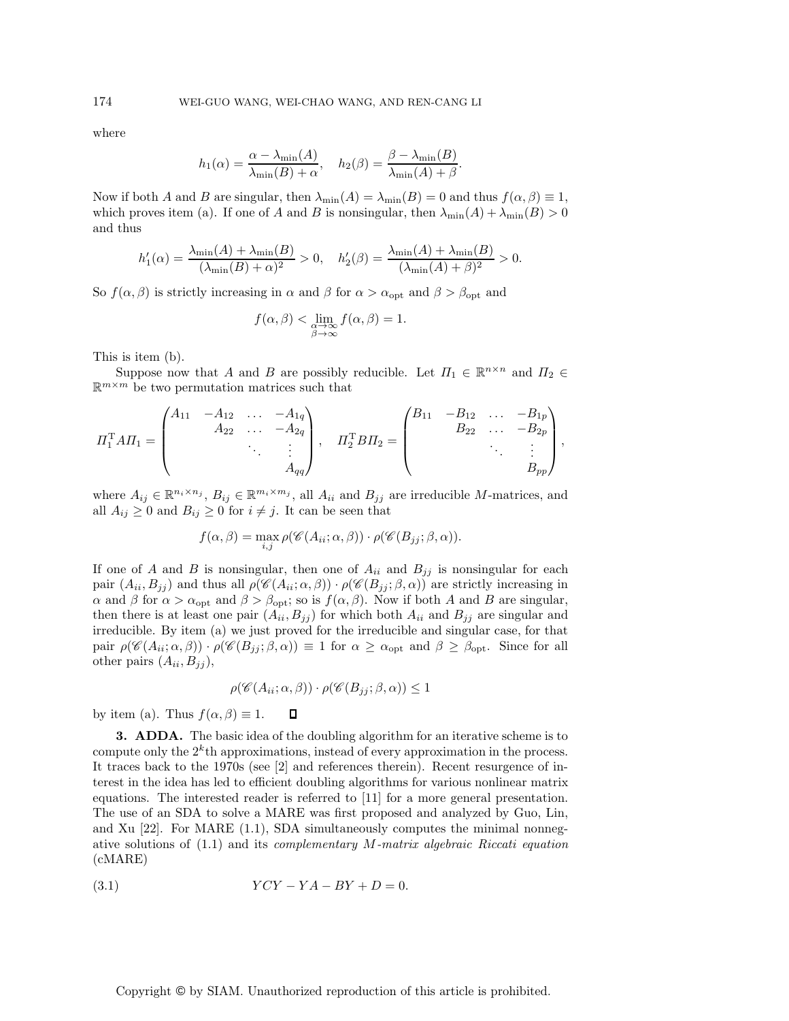where

$$
h_1(\alpha) = \frac{\alpha - \lambda_{\min}(A)}{\lambda_{\min}(B) + \alpha}, \quad h_2(\beta) = \frac{\beta - \lambda_{\min}(B)}{\lambda_{\min}(A) + \beta}.
$$

Now if both A and B are singular, then  $\lambda_{\min}(A) = \lambda_{\min}(B) = 0$  and thus  $f(\alpha, \beta) \equiv 1$ , which proves item (a). If one of A and B is nonsingular, then  $\lambda_{\min}(A) + \lambda_{\min}(B) > 0$ and thus

$$
h'_1(\alpha) = \frac{\lambda_{\min}(A) + \lambda_{\min}(B)}{(\lambda_{\min}(B) + \alpha)^2} > 0, \quad h'_2(\beta) = \frac{\lambda_{\min}(A) + \lambda_{\min}(B)}{(\lambda_{\min}(A) + \beta)^2} > 0.
$$

So  $f(\alpha, \beta)$  is strictly increasing in  $\alpha$  and  $\beta$  for  $\alpha > \alpha_{\text{opt}}$  and  $\beta > \beta_{\text{opt}}$  and

$$
f(\alpha, \beta) < \lim_{\substack{\alpha \to \infty \\ \beta \to \infty}} f(\alpha, \beta) = 1.
$$

This is item (b).

Suppose now that A and B are possibly reducible. Let  $\Pi_1 \in \mathbb{R}^{n \times n}$  and  $\Pi_2 \in$  $\mathbb{R}^{m \times m}$  be two permutation matrices such that

$$
\Pi_1^{\mathrm{T}} A \Pi_1 = \begin{pmatrix} A_{11} & -A_{12} & \dots & -A_{1q} \\ & A_{22} & \dots & -A_{2q} \\ & & \ddots & \vdots \\ & & & A_{qq} \end{pmatrix}, \quad \Pi_2^{\mathrm{T}} B \Pi_2 = \begin{pmatrix} B_{11} & -B_{12} & \dots & -B_{1p} \\ & B_{22} & \dots & -B_{2p} \\ & & \ddots & \vdots \\ & & & B_{pp} \end{pmatrix},
$$

where  $A_{ij} \in \mathbb{R}^{n_i \times n_j}$ ,  $B_{ij} \in \mathbb{R}^{m_i \times m_j}$ , all  $A_{ii}$  and  $B_{jj}$  are irreducible M-matrices, and all  $A_{ij} \geq 0$  and  $B_{ij} \geq 0$  for  $i \neq j$ . It can be seen that

$$
f(\alpha, \beta) = \max_{i,j} \rho(\mathscr{C}(A_{ii}; \alpha, \beta)) \cdot \rho(\mathscr{C}(B_{jj}; \beta, \alpha)).
$$

If one of A and B is nonsingular, then one of  $A_{ii}$  and  $B_{jj}$  is nonsingular for each pair  $(A_{ii}, B_{jj})$  and thus all  $\rho(\mathscr{C}(A_{ii}; \alpha, \beta)) \cdot \rho(\mathscr{C}(B_{jj}; \beta, \alpha))$  are strictly increasing in  $\alpha$  and  $\beta$  for  $\alpha > \alpha_{\text{opt}}$  and  $\beta > \beta_{\text{opt}}$ ; so is  $f(\alpha, \beta)$ . Now if both A and B are singular, then there is at least one pair  $(A_{ii}, B_{jj})$  for which both  $A_{ii}$  and  $B_{jj}$  are singular and irreducible. By item (a) we just proved for the irreducible and singular case, for that pair  $\rho(\mathscr{C}(A_{ii}; \alpha, \beta)) \cdot \rho(\mathscr{C}(B_{jj}; \beta, \alpha)) \equiv 1$  for  $\alpha \geq \alpha_{\text{opt}}$  and  $\beta \geq \beta_{\text{opt}}$ . Since for all other pairs  $(A_{ii}, B_{jj})$ ,

$$
\rho(\mathscr{C}(A_{ii}; \alpha, \beta)) \cdot \rho(\mathscr{C}(B_{jj}; \beta, \alpha)) \leq 1
$$

 $\Box$ 

by item (a). Thus  $f(\alpha, \beta) \equiv 1$ .

**3. ADDA.** The basic idea of the doubling algorithm for an iterative scheme is to compute only the  $2^k$ th approximations, instead of every approximation in the process. It traces back to the 1970s (see [2] and references therein). Recent resurgence of interest in the idea has led to efficient doubling algorithms for various nonlinear matrix equations. The interested reader is referred to [11] for a more general presentation. The use of an SDA to solve a MARE was first proposed and analyzed by Guo, Lin, and Xu  $[22]$ . For MARE  $(1.1)$ , SDA simultaneously computes the minimal nonnegative solutions of (1.1) and its *complementary* M*-matrix algebraic Riccati equation* (cMARE)

$$
(3.1) \t YCY - YA - BY + D = 0.
$$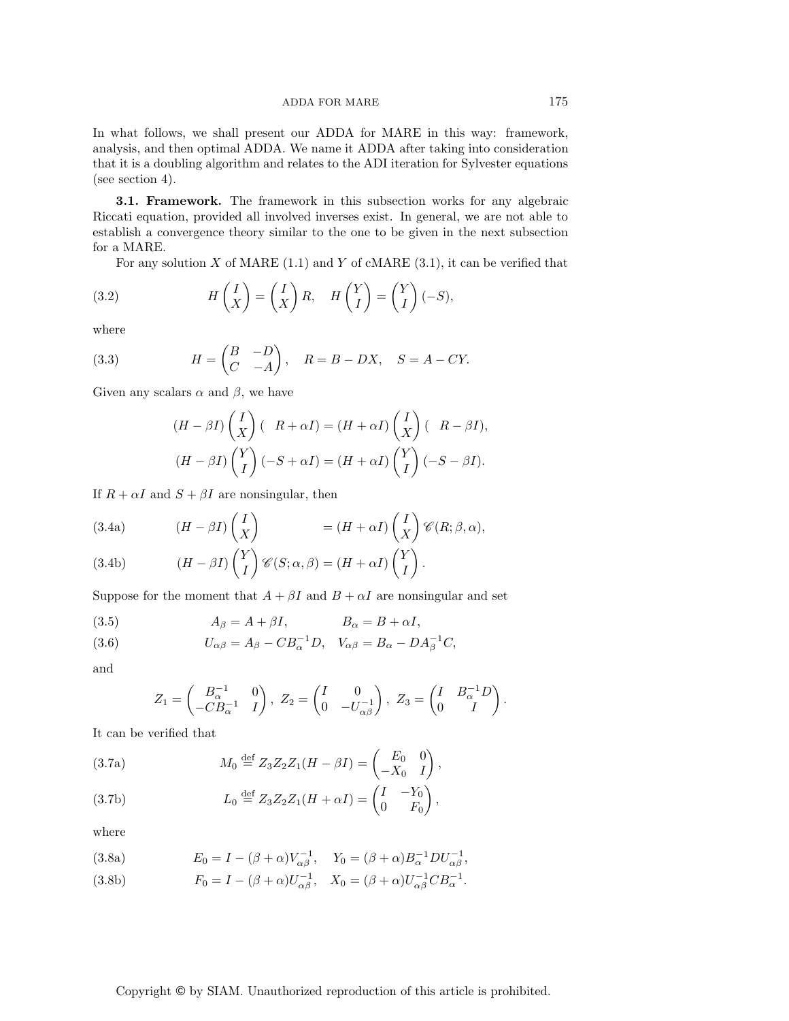In what follows, we shall present our ADDA for MARE in this way: framework, analysis, and then optimal ADDA. We name it ADDA after taking into consideration that it is a doubling algorithm and relates to the ADI iteration for Sylvester equations (see section 4).

**3.1. Framework.** The framework in this subsection works for any algebraic Riccati equation, provided all involved inverses exist. In general, we are not able to establish a convergence theory similar to the one to be given in the next subsection for a MARE.

For any solution  $X$  of MARE (1.1) and  $Y$  of cMARE (3.1), it can be verified that

(3.2) 
$$
H\left(\begin{matrix}I\\X\end{matrix}\right)=\left(\begin{matrix}I\\X\end{matrix}\right)R, \quad H\left(\begin{matrix}Y\\I\end{matrix}\right)=\left(\begin{matrix}Y\\I\end{matrix}\right)(-S),
$$

where

(3.3) 
$$
H = \begin{pmatrix} B & -D \\ C & -A \end{pmatrix}, \quad R = B - DX, \quad S = A - CY.
$$

Given any scalars  $\alpha$  and  $\beta$ , we have

$$
(H - \beta I) \begin{pmatrix} I \\ X \end{pmatrix} (R + \alpha I) = (H + \alpha I) \begin{pmatrix} I \\ X \end{pmatrix} (R - \beta I),
$$
  

$$
(H - \beta I) \begin{pmatrix} Y \\ I \end{pmatrix} (-S + \alpha I) = (H + \alpha I) \begin{pmatrix} Y \\ I \end{pmatrix} (-S - \beta I).
$$

If  $R + \alpha I$  and  $S + \beta I$  are nonsingular, then

(3.4a) 
$$
(H - \beta I) \begin{pmatrix} I \\ X \end{pmatrix} = (H + \alpha I) \begin{pmatrix} I \\ X \end{pmatrix} \mathscr{C}(R; \beta, \alpha),
$$

(3.4b) 
$$
(H - \beta I) \binom{Y}{I} \mathscr{C}(S; \alpha, \beta) = (H + \alpha I) \binom{Y}{I}.
$$

Suppose for the moment that  $A + \beta I$  and  $B + \alpha I$  are nonsingular and set

(3.5) 
$$
A_{\beta} = A + \beta I, \qquad B_{\alpha} = B + \alpha I,
$$

(3.6) 
$$
U_{\alpha\beta} = A_{\beta} - C B_{\alpha}^{-1} D, \quad V_{\alpha\beta} = B_{\alpha} - D A_{\beta}^{-1} C,
$$

and

$$
Z_1 = \begin{pmatrix} B_{\alpha}^{-1} & 0 \\ -CB_{\alpha}^{-1} & I \end{pmatrix}, Z_2 = \begin{pmatrix} I & 0 \\ 0 & -U_{\alpha\beta}^{-1} \end{pmatrix}, Z_3 = \begin{pmatrix} I & B_{\alpha}^{-1}D \\ 0 & I \end{pmatrix}.
$$

It can be verified that

(3.7a) 
$$
M_0 \stackrel{\text{def}}{=} Z_3 Z_2 Z_1 (H - \beta I) = \begin{pmatrix} E_0 & 0 \\ -X_0 & I \end{pmatrix},
$$

(3.7b) 
$$
L_0 \stackrel{\text{def}}{=} Z_3 Z_2 Z_1 (H + \alpha I) = \begin{pmatrix} I & -Y_0 \\ 0 & F_0 \end{pmatrix},
$$

where

(3.8a) 
$$
E_0 = I - (\beta + \alpha)V_{\alpha\beta}^{-1}, \quad Y_0 = (\beta + \alpha)B_{\alpha}^{-1}DU_{\alpha\beta}^{-1},
$$

(3.8b) 
$$
F_0 = I - (\beta + \alpha)U_{\alpha\beta}^{-1}, \quad X_0 = (\beta + \alpha)U_{\alpha\beta}^{-1}CB_{\alpha}^{-1}.
$$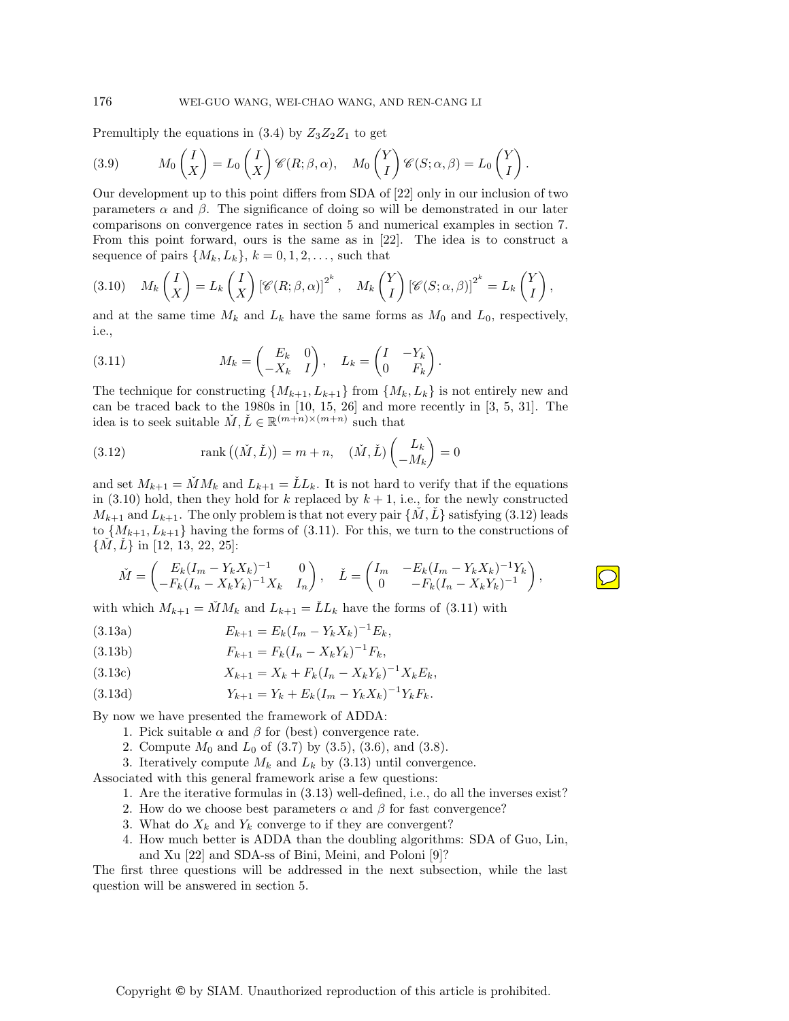Premultiply the equations in  $(3.4)$  by  $Z_3Z_2Z_1$  to get

(3.9) 
$$
M_0\begin{pmatrix}I\\X\end{pmatrix}=L_0\begin{pmatrix}I\\X\end{pmatrix}\mathscr{C}(R;\beta,\alpha), \quad M_0\begin{pmatrix}Y\\I\end{pmatrix}\mathscr{C}(S;\alpha,\beta)=L_0\begin{pmatrix}Y\\I\end{pmatrix}
$$

Our development up to this point differs from SDA of [22] only in our inclusion of two parameters  $\alpha$  and  $\beta$ . The significance of doing so will be demonstrated in our later comparisons on convergence rates in section 5 and numerical examples in section 7. From this point forward, ours is the same as in [22]. The idea is to construct a sequence of pairs  $\{M_k, L_k\}, k = 0, 1, 2, \ldots$ , such that

(3.10) 
$$
M_k\begin{pmatrix} I \\ X \end{pmatrix} = L_k\begin{pmatrix} I \\ X \end{pmatrix} [\mathscr{C}(R;\beta,\alpha)]^{2^k}, \quad M_k\begin{pmatrix} Y \\ I \end{pmatrix} [\mathscr{C}(S;\alpha,\beta)]^{2^k} = L_k\begin{pmatrix} Y \\ I \end{pmatrix},
$$

and at the same time  $M_k$  and  $L_k$  have the same forms as  $M_0$  and  $L_0$ , respectively, i.e.,

(3.11) 
$$
M_k = \begin{pmatrix} E_k & 0 \\ -X_k & I \end{pmatrix}, \quad L_k = \begin{pmatrix} I & -Y_k \\ 0 & F_k \end{pmatrix}.
$$

The technique for constructing  $\{M_{k+1}, L_{k+1}\}\$  from  $\{M_k, L_k\}$  is not entirely new and can be traced back to the 1980s in [10, 15, 26] and more recently in [3, 5, 31]. The idea is to seek suitable  $\check{M}, \check{L} \in \mathbb{R}^{(m+n)\times(m+n)}$  such that

(3.12) 
$$
\operatorname{rank}((\check{M},\check{L})) = m+n, \quad (\check{M},\check{L})\begin{pmatrix}L_k\\-M_k\end{pmatrix} = 0
$$

and set  $M_{k+1} = \check{M}M_k$  and  $L_{k+1} = \check{L}L_k$ . It is not hard to verify that if the equations in (3.10) hold, then they hold for k replaced by  $k + 1$ , i.e., for the newly constructed  $M_{k+1}$  and  $L_{k+1}$ . The only problem is that not every pair  $\{M, L\}$  satisfying (3.12) leads to  $\{M_{k+1}, L_{k+1}\}\$  having the forms of (3.11). For this, we turn to the constructions of  $\{M, L\}$  in [12, 13, 22, 25]:

$$
\check{M} = \begin{pmatrix} E_k (I_m - Y_k X_k)^{-1} & 0 \\ -F_k (I_n - X_k Y_k)^{-1} X_k & I_n \end{pmatrix}, \quad \check{L} = \begin{pmatrix} I_m & -E_k (I_m - Y_k X_k)^{-1} Y_k \\ 0 & -F_k (I_n - X_k Y_k)^{-1} \end{pmatrix},
$$

with which  $M_{k+1} = \check{M}M_k$  and  $L_{k+1} = \check{L}L_k$  have the forms of (3.11) with

(3.13a) 
$$
E_{k+1} = E_k (I_m - Y_k X_k)^{-1} E_k,
$$

(3.13b) 
$$
F_{k+1} = F_k (I_n - X_k Y_k)^{-1} F_k,
$$

(3.13c) 
$$
X_{k+1} = X_k + F_k(I_n - X_kY_k)^{-1}X_kE_k,
$$

(3.13d) 
$$
Y_{k+1} = Y_k + E_k (I_m - Y_k X_k)^{-1} Y_k F_k.
$$

By now we have presented the framework of ADDA:

- 1. Pick suitable  $\alpha$  and  $\beta$  for (best) convergence rate.
- 2. Compute  $M_0$  and  $L_0$  of (3.7) by (3.5), (3.6), and (3.8).
- 3. Iteratively compute  $M_k$  and  $L_k$  by (3.13) until convergence.

Associated with this general framework arise a few questions:

- 1. Are the iterative formulas in (3.13) well-defined, i.e., do all the inverses exist?
- 2. How do we choose best parameters  $\alpha$  and  $\beta$  for fast convergence?
- 3. What do  $X_k$  and  $Y_k$  converge to if they are convergent?
- 4. How much better is ADDA than the doubling algorithms: SDA of Guo, Lin, and Xu [22] and SDA-ss of Bini, Meini, and Poloni [9]?

The first three questions will be addressed in the next subsection, while the last question will be answered in section 5.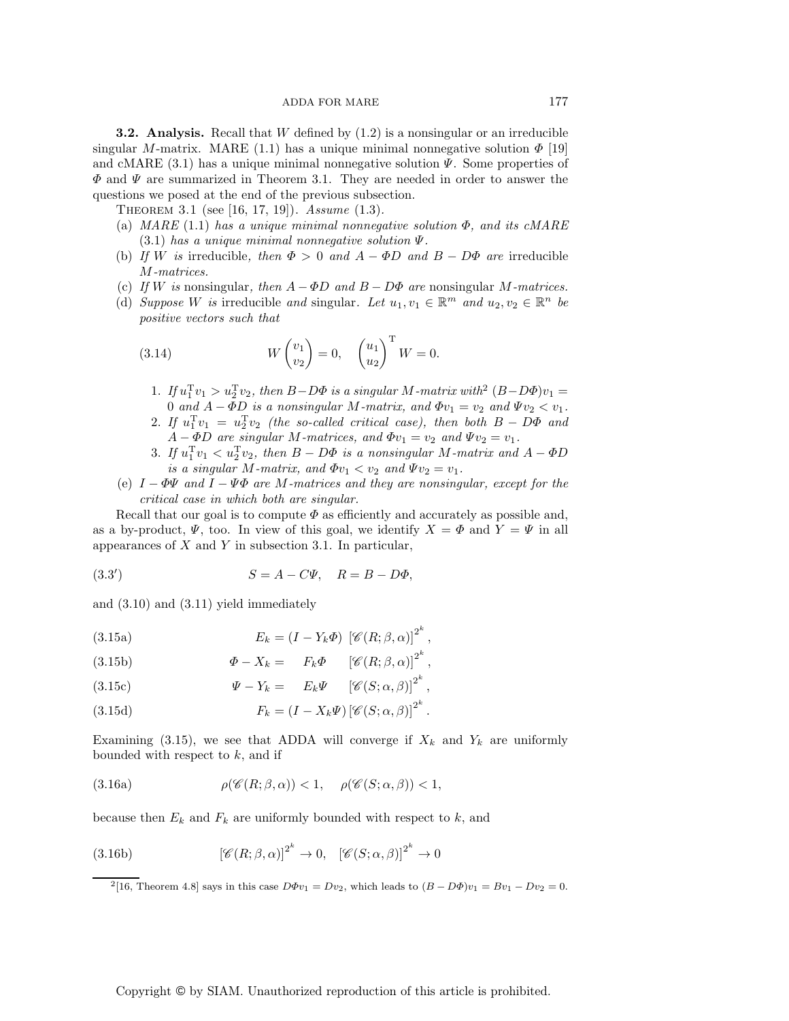**3.2. Analysis.** Recall that W defined by  $(1.2)$  is a nonsingular or an irreducible singular M-matrix. MARE (1.1) has a unique minimal nonnegative solution  $\Phi$  [19] and cMARE  $(3.1)$  has a unique minimal nonnegative solution  $\Psi$ . Some properties of  $\Phi$  and  $\Psi$  are summarized in Theorem 3.1. They are needed in order to answer the questions we posed at the end of the previous subsection.

Theorem 3.1 (see [16, 17, 19]). *Assume* (1.3)*.*

- (a) *MARE* (1.1) *has a unique minimal nonnegative solution* Φ*, and its cMARE* (3.1) *has a unique minimal nonnegative solution* Ψ*.*
- (b) *If* W is irreducible, then  $\Phi > 0$  and  $A \Phi D$  and  $B D\Phi$  are irreducible M*-matrices.*
- (c) *If* W is nonsingular, then  $A \Phi D$  and  $B D\Phi$  are nonsingular M-matrices.
- (d) *Suppose* W *is* irreducible and singular. Let  $u_1, v_1 \in \mathbb{R}^m$  and  $u_2, v_2 \in \mathbb{R}^n$  be *positive vectors such that*

(3.14) 
$$
W\begin{pmatrix}v_1\\v_2\end{pmatrix}=0, \quad \begin{pmatrix}u_1\\u_2\end{pmatrix}^{\mathrm{T}}W=0.
$$

- 1. If  $u_1^T v_1 > u_2^T v_2$ , then  $B-D\Phi$  is a singular M-matrix with<sup>2</sup>  $(B-D\Phi)v_1 = 0$  and  $A-\Phi D$  is a nonsingular M-matrix and  $\Phi v_1 = v_2$  and  $\Psi v_2 \le v_1$ . 0 and  $A - \overline{\Phi}D$  is a nonsingular M-matrix, and  $\Phi v_1 = v_2$  and  $\Psi v_2 < v_1$ .
- 2. If  $u_1^T v_1 = u_2^T v_2$  (the so-called critical case), then both  $B D\Phi$  and  $A \Phi D$  are singular M-matrices and  $\Phi v_1 = v_2$  and  $\Psi v_2 = v_1$  $A - \Phi D$  are singular M-matrices, and  $\Phi v_1 = v_2$  and  $\Psi v_2 = v_1$ .
- 3. If  $u_1^T v_1 < u_2^T v_2$ , then  $B D\Phi$  is a nonsingular M-matrix and  $A \Phi D$ <br>is a singular M-matrix and  $\Phi v_1 < v_2$  and  $Wv_2 = v_1$ *is a singular M*-matrix, and  $\Phi v_1 < v_2$  and  $\Psi v_2 = v_1$ .
- (e) I <sup>−</sup> ΦΨ *and* I <sup>−</sup> ΨΦ *are* M*-matrices and they are nonsingular, except for the critical case in which both are singular.*

Recall that our goal is to compute  $\Phi$  as efficiently and accurately as possible and, as a by-product,  $\Psi$ , too. In view of this goal, we identify  $X = \Phi$  and  $Y = \Psi$  in all appearances of  $X$  and  $Y$  in subsection 3.1. In particular,

(3.3') 
$$
S = A - C\Psi, \quad R = B - D\Phi,
$$

and (3.10) and (3.11) yield immediately

(3.15a) 
$$
E_k = (I - Y_k \Phi) \left[ \mathscr{C}(R; \beta, \alpha) \right]^{2^k},
$$

(3.15b) 
$$
\Phi - X_k = F_k \Phi \qquad [\mathscr{C}(R; \beta, \alpha)]^{2^k},
$$

(3.15c) 
$$
\Psi - Y_k = E_k \Psi \qquad [\mathscr{C}(S; \alpha, \beta)]^{2^k},
$$

(3.15d) 
$$
F_k = (I - X_k \Psi) \left[ \mathscr{C}(S; \alpha, \beta) \right]^{2^k}.
$$

Examining (3.15), we see that ADDA will converge if  $X_k$  and  $Y_k$  are uniformly bounded with respect to  $k$ , and if

(3.16a) 
$$
\rho(\mathscr{C}(R;\beta,\alpha)) < 1, \quad \rho(\mathscr{C}(S;\alpha,\beta)) < 1,
$$

because then  $E_k$  and  $F_k$  are uniformly bounded with respect to k, and

(3.16b) 
$$
\left[\mathscr{C}(R;\beta,\alpha)\right]^{2^k} \to 0, \quad \left[\mathscr{C}(S;\alpha,\beta)\right]^{2^k} \to 0
$$

<sup>2</sup>[16, Theorem 4.8] says in this case  $D\Phi v_1 = Dv_2$ , which leads to  $(B - D\Phi)v_1 = Bv_1 - Dv_2 = 0$ .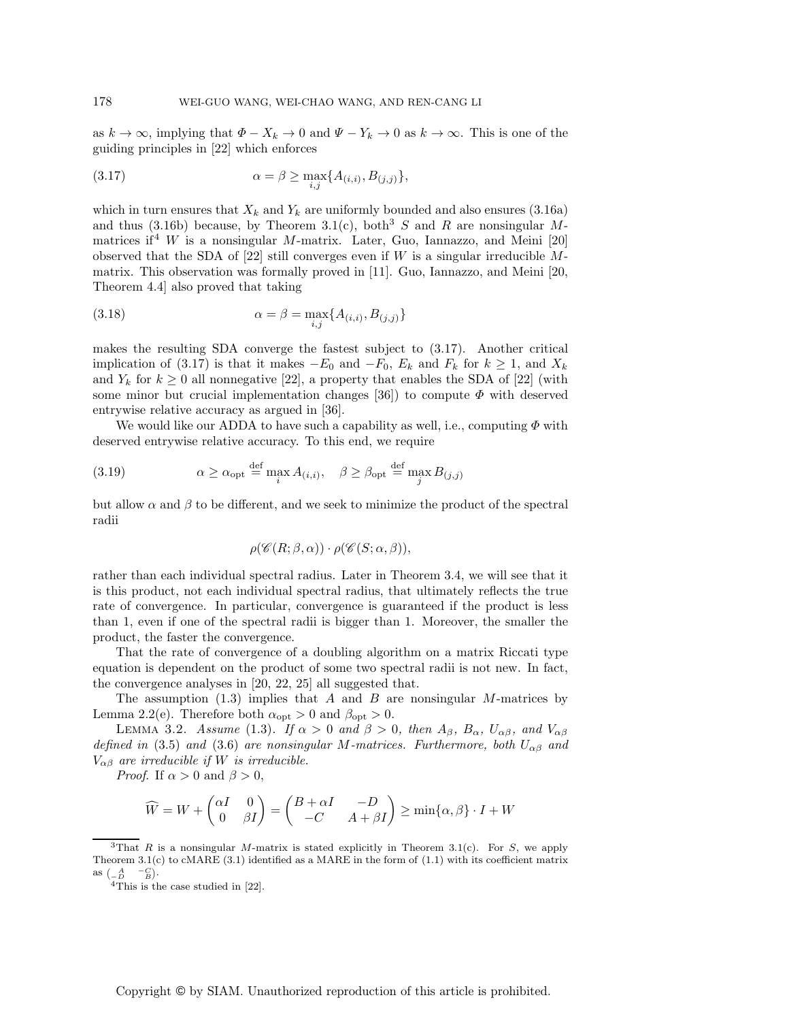as  $k \to \infty$ , implying that  $\Phi - X_k \to 0$  and  $\Psi - Y_k \to 0$  as  $k \to \infty$ . This is one of the guiding principles in [22] which enforces

(3.17) 
$$
\alpha = \beta \ge \max_{i,j} \{ A_{(i,i)}, B_{(j,j)} \},
$$

which in turn ensures that  $X_k$  and  $Y_k$  are uniformly bounded and also ensures (3.16a) and thus (3.16b) because, by Theorem 3.1(c), both<sup>3</sup> S and R are nonsingular Mmatrices if  $W$  is a nonsingular M-matrix. Later, Guo, Iannazzo, and Meini [20] observed that the SDA of  $[22]$  still converges even if W is a singular irreducible Mmatrix. This observation was formally proved in [11]. Guo, Iannazzo, and Meini [20, Theorem 4.4] also proved that taking

(3.18) 
$$
\alpha = \beta = \max_{i,j} \{ A_{(i,i)}, B_{(j,j)} \}
$$

makes the resulting SDA converge the fastest subject to (3.17). Another critical implication of (3.17) is that it makes  $-E_0$  and  $-F_0$ ,  $E_k$  and  $F_k$  for  $k \geq 1$ , and  $X_k$ and  $Y_k$  for  $k \geq 0$  all nonnegative [22], a property that enables the SDA of [22] (with some minor but crucial implementation changes [36]) to compute  $\Phi$  with deserved entrywise relative accuracy as argued in [36].

We would like our ADDA to have such a capability as well, i.e., computing  $\Phi$  with deserved entrywise relative accuracy. To this end, we require

(3.19) 
$$
\alpha \ge \alpha_{\text{opt}} \stackrel{\text{def}}{=} \max_{i} A_{(i,i)}, \quad \beta \ge \beta_{\text{opt}} \stackrel{\text{def}}{=} \max_{j} B_{(j,j)}
$$

but allow  $\alpha$  and  $\beta$  to be different, and we seek to minimize the product of the spectral radii

$$
\rho(\mathscr{C}(R;\beta,\alpha))\cdot\rho(\mathscr{C}(S;\alpha,\beta)),
$$

rather than each individual spectral radius. Later in Theorem 3.4, we will see that it is this product, not each individual spectral radius, that ultimately reflects the true rate of convergence. In particular, convergence is guaranteed if the product is less than 1, even if one of the spectral radii is bigger than 1. Moreover, the smaller the product, the faster the convergence.

That the rate of convergence of a doubling algorithm on a matrix Riccati type equation is dependent on the product of some two spectral radii is not new. In fact, the convergence analyses in [20, 22, 25] all suggested that.

The assumption (1.3) implies that A and B are nonsingular M-matrices by Lemma 2.2(e). Therefore both  $\alpha_{\rm opt} > 0$  and  $\beta_{\rm opt} > 0$ .

LEMMA 3.2. *Assume* (1.3). If  $\alpha > 0$  and  $\beta > 0$ , then  $A_{\beta}$ ,  $B_{\alpha}$ ,  $U_{\alpha\beta}$ , and  $V_{\alpha\beta}$ *defined in* (3.5) *and* (3.6) *are nonsingular* M-matrices. Furthermore, both  $U_{\alpha\beta}$  *and*  $V_{\alpha\beta}$  *are irreducible if* W *is irreducible.* 

*Proof.* If  $\alpha > 0$  and  $\beta > 0$ ,

$$
\widehat{W} = W + \begin{pmatrix} \alpha I & 0 \\ 0 & \beta I \end{pmatrix} = \begin{pmatrix} B + \alpha I & -D \\ -C & A + \beta I \end{pmatrix} \ge \min\{\alpha, \beta\} \cdot I + W
$$

<sup>&</sup>lt;sup>3</sup>That R is a nonsingular M-matrix is stated explicitly in Theorem 3.1(c). For S, we apply Theorem 3.1(c) to cMARE (3.1) identified as a MARE in the form of  $(1.1)$  with its coefficient matrix as  $\begin{pmatrix} A & -C \ -D & B \end{pmatrix}$ .

<sup>&</sup>lt;sup>4</sup>This is the case studied in [22].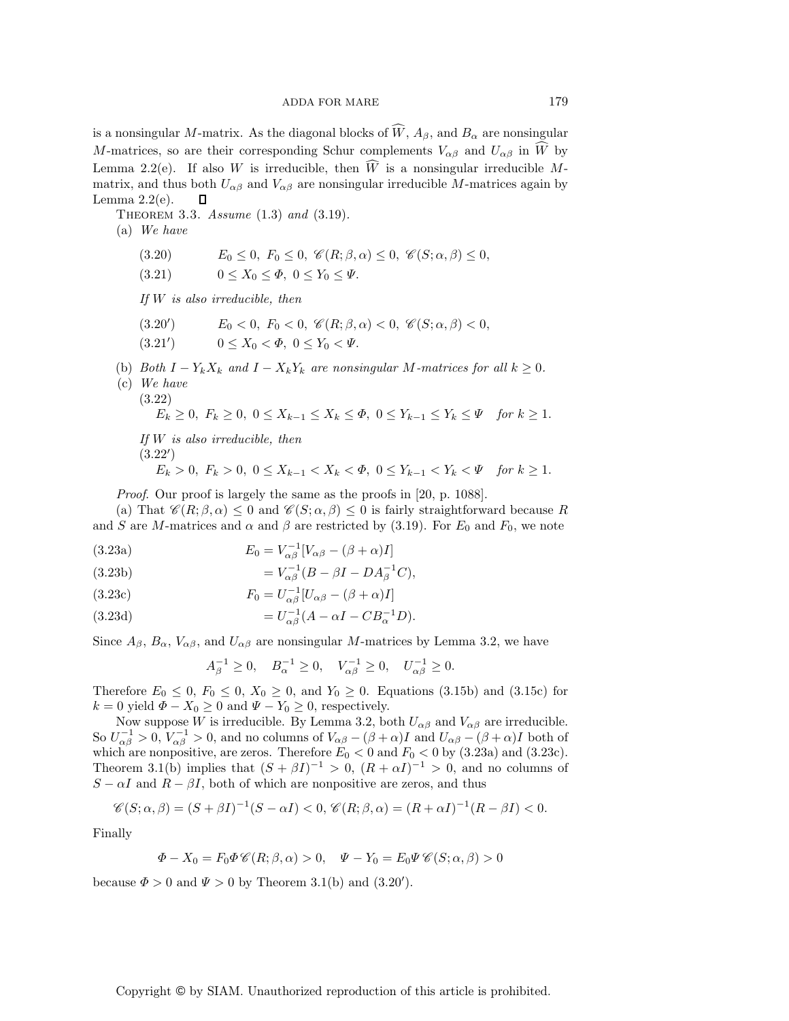is a nonsingular M-matrix. As the diagonal blocks of  $W$ ,  $A_{\beta}$ , and  $B_{\alpha}$  are nonsingular  $M$  are nonsingular  $M$  are nonsingular  $M$  and  $W$  are  $\widetilde{W}$  because  $M$ M-matrices, so are their corresponding Schur complements  $V_{\alpha\beta}$  and  $U_{\alpha\beta}$  in W by<br>Lamma 2.2(a) if also W is impolypible, then  $\widehat{W}$  is a popularity impolypible M. Lemma 2.2(e). If also W is irreducible, then W is a nonsingular irreducible M-<br>matrix and thus both  $U_{\ell}$  and  $V_{\ell}$  are nonsingular irreducible M-matrices again by matrix, and thus both  $U_{\alpha\beta}$  and  $V_{\alpha\beta}$  are nonsingular irreducible *M*-matrices again by Lemma 2.2(e).  $\Box$ Lemma  $2.2(e)$ .

Theorem 3.3. *Assume* (1.3) *and* (3.19)*.*

(a) *We have*

(3.20)  $E_0 \le 0, F_0 \le 0, \mathcal{C}(R; \beta, \alpha) \le 0, \mathcal{C}(S; \alpha, \beta) \le 0,$ <br>
(3.21)  $0 \le X_0 \le \Phi, 0 \le Y_0 \le \Psi.$ 

 $0 \leq X_0 \leq \varPhi$ ,  $0 \leq Y_0 \leq \varPsi$ .

*If* W *is also irreducible, then*

- $E_0 < 0$ ,  $F_0 < 0$ ,  $\mathscr{C}(R; \beta, \alpha) < 0$ ,  $\mathscr{C}(S; \alpha, \beta) < 0$ ,  $(3.20')$
- $0 \leq X_0 < \Phi, \ 0 \leq Y_0 < \Psi.$  $(3.21')$
- (b) *Both*  $I Y_k X_k$  *and*  $I X_k Y_k$  *are nonsingular M*-matrices for all  $k \geq 0$ .
- (c) *We have* (3.22)

$$
E_k \ge 0, \ F_k \ge 0, \ 0 \le X_{k-1} \le X_k \le \Phi, \ 0 \le Y_{k-1} \le Y_k \le \Psi \quad \text{for } k \ge 1.
$$

*If* W *is also irreducible, then*  $(3.22)$ 

 $E_k > 0, F_k > 0, 0 \le X_{k-1} \le X_k < \Phi, 0 \le Y_{k-1} \le Y_k < \Psi$  for  $k \ge 1$ .

*Proof.* Our proof is largely the same as the proofs in [20, p. 1088].

(a) That  $\mathscr{C}(R;\beta,\alpha) \leq 0$  and  $\mathscr{C}(S;\alpha,\beta) \leq 0$  is fairly straightforward because R and S are M-matrices and  $\alpha$  and  $\beta$  are restricted by (3.19). For  $E_0$  and  $F_0$ , we note

- (3.23a)  $E_0 = V_{\alpha\beta}^{-1} [V_{\alpha\beta} (\beta + \alpha)I]$
- (3.23b)  $= V_{\alpha\beta}^{-1} (B \beta I DA_{\beta}^{-1} C),$

(3.23c) 
$$
F_0 = U_{\alpha\beta}^{-1} [U_{\alpha\beta} - (\beta + \alpha)I]
$$

(3.23d) 
$$
=U_{\alpha\beta}^{-1}(A-\alpha I - CB_{\alpha}^{-1}D).
$$

Since  $A_{\beta}$ ,  $B_{\alpha}$ ,  $V_{\alpha\beta}$ , and  $U_{\alpha\beta}$  are nonsingular M-matrices by Lemma 3.2, we have

$$
A_{\beta}^{-1} \ge 0
$$
,  $B_{\alpha}^{-1} \ge 0$ ,  $V_{\alpha\beta}^{-1} \ge 0$ ,  $U_{\alpha\beta}^{-1} \ge 0$ .

Therefore  $E_0 \leq 0$ ,  $F_0 \leq 0$ ,  $X_0 \geq 0$ , and  $Y_0 \geq 0$ . Equations (3.15b) and (3.15c) for  $k = 0$  yield  $\Phi - X_0 \ge 0$  and  $\Psi - Y_0 \ge 0$ , respectively.

Now suppose W is irreducible. By Lemma 3.2, both  $U_{\alpha\beta}$  and  $V_{\alpha\beta}$  are irreducible. So  $U_{\alpha\beta}^{-1} > 0$ ,  $V_{\alpha\beta}^{-1} > 0$ , and no columns of  $V_{\alpha\beta} - (\beta + \alpha)I$  and  $U_{\alpha\beta} - (\beta + \alpha)I$  both of which are nonpositive are zeros. Therefore  $F_{\alpha} < 0$  and  $F_{\alpha} < 0$  by (3.23a) and (3.23c) which are nonpositive, are zeros. Therefore  $E_0 < 0$  and  $F_0 < 0$  by (3.23a) and (3.23c). Theorem 3.1(b) implies that  $(S + \beta I)^{-1} > 0$ ,  $(R + \alpha I)^{-1} > 0$ , and no columns of  $S - \alpha I$  and  $R - \beta I$ , both of which are nonpositive are zeros, and thus

$$
\mathscr{C}(S;\alpha,\beta)=(S+\beta I)^{-1}(S-\alpha I)<0,\ \mathscr{C}(R;\beta,\alpha)=(R+\alpha I)^{-1}(R-\beta I)<0.
$$

Finally

$$
\Phi - X_0 = F_0 \Phi \mathscr{C}(R; \beta, \alpha) > 0, \quad \Psi - Y_0 = E_0 \Psi \mathscr{C}(S; \alpha, \beta) > 0
$$

because  $\Phi > 0$  and  $\Psi > 0$  by Theorem 3.1(b) and (3.20').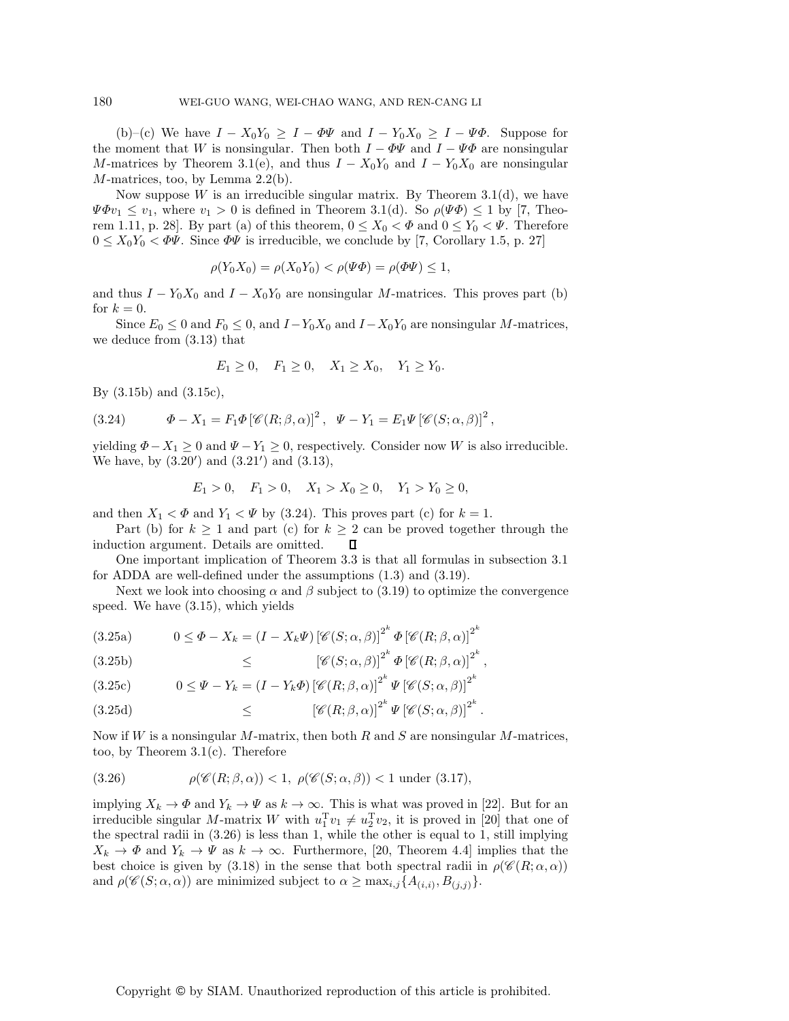(b)–(c) We have  $I - X_0Y_0 \geq I - \Phi\Psi$  and  $I - Y_0X_0 \geq I - \Psi\Phi$ . Suppose for the moment that W is nonsingular. Then both  $I - \Phi \Psi$  and  $I - \Psi \Phi$  are nonsingular M-matrices by Theorem 3.1(e), and thus  $I - X_0Y_0$  and  $I - Y_0X_0$  are nonsingular  $M$ -matrices, too, by Lemma 2.2(b).

Now suppose  $W$  is an irreducible singular matrix. By Theorem 3.1(d), we have  $\Psi \Phi v_1 \leq v_1$ , where  $v_1 > 0$  is defined in Theorem 3.1(d). So  $\rho(\Psi \Phi) \leq 1$  by [7, Theorem 1.11, p. 28]. By part (a) of this theorem,  $0 \le X_0 < \Phi$  and  $0 \le Y_0 < \Psi$ . Therefore  $0 \leq X_0 Y_0 < \Phi \Psi$ . Since  $\Phi \Psi$  is irreducible, we conclude by [7, Corollary 1.5, p. 27]

$$
\rho(Y_0 X_0) = \rho(X_0 Y_0) < \rho(\Psi \Phi) = \rho(\Phi \Psi) \le 1,
$$

and thus  $I - Y_0 X_0$  and  $I - X_0 Y_0$  are nonsingular M-matrices. This proves part (b) for  $k = 0$ .

Since  $E_0 \leq 0$  and  $F_0 \leq 0$ , and  $I - Y_0 X_0$  and  $I - X_0 Y_0$  are nonsingular M-matrices, we deduce from (3.13) that

$$
E_1 \ge 0, \quad F_1 \ge 0, \quad X_1 \ge X_0, \quad Y_1 \ge Y_0.
$$

By (3.15b) and (3.15c),

(3.24) 
$$
\Phi - X_1 = F_1 \Phi \left[ \mathscr{C}(R; \beta, \alpha) \right]^2, \quad \Psi - Y_1 = E_1 \Psi \left[ \mathscr{C}(S; \alpha, \beta) \right]^2,
$$

yielding  $\Phi - X_1 \geq 0$  and  $\Psi - Y_1 \geq 0$ , respectively. Consider now W is also irreducible. We have, by  $(3.20')$  and  $(3.21')$  and  $(3.13)$ ,

$$
E_1 > 0, \quad F_1 > 0, \quad X_1 > X_0 \ge 0, \quad Y_1 > Y_0 \ge 0,
$$

and then  $X_1 < \Phi$  and  $Y_1 < \Psi$  by (3.24). This proves part (c) for  $k = 1$ .

Part (b) for  $k \ge 1$  and part (c) for  $k \ge 2$  can be proved together through the lection argument. Details are omitted.  $\Box$ induction argument. Details are omitted.

One important implication of Theorem 3.3 is that all formulas in subsection 3.1 for ADDA are well-defined under the assumptions (1.3) and (3.19).

Next we look into choosing  $\alpha$  and  $\beta$  subject to (3.19) to optimize the convergence speed. We have (3.15), which yields

(3.25a) 
$$
0 \leq \Phi - X_k = (I - X_k \Psi) \left[ \mathscr{C}(S; \alpha, \beta) \right]^{2^k} \Phi \left[ \mathscr{C}(R; \beta, \alpha) \right]^{2^k}
$$

<sup>≤</sup> [*<sup>C</sup>* (S; α, β)]<sup>2</sup><sup>k</sup> Φ[*C*(R; β,α)]<sup>2</sup><sup>k</sup> (3.25b) ,

(3.25c) 
$$
0 \leq \Psi - Y_k = (I - Y_k \Phi) \left[ \mathscr{C}(R; \beta, \alpha) \right]^{2^k} \Psi \left[ \mathscr{C}(S; \alpha, \beta) \right]^{2^k}
$$

(3.25d) 
$$
\leq \left[ \mathscr{C}(R;\beta,\alpha) \right]^{2^k} \Psi \left[ \mathscr{C}(S;\alpha,\beta) \right]^{2^k}.
$$

Now if W is a nonsingular M-matrix, then both R and S are nonsingular M-matrices, too, by Theorem 3.1(c). Therefore

(3.26) 
$$
\rho(\mathscr{C}(R;\beta,\alpha)) < 1, \ \rho(\mathscr{C}(S;\alpha,\beta)) < 1 \text{ under (3.17)},
$$

implying  $X_k \to \Phi$  and  $Y_k \to \Psi$  as  $k \to \infty$ . This is what was proved in [22]. But for an irreducible singular M-matrix W with  $u_1^T v_1 \neq u_2^T v_2$ , it is proved in [20] that one of<br>the spectral radii in (3.26) is less than 1 while the other is equal to 1 still implying the spectral radii in (3.26) is less than 1, while the other is equal to 1, still implying  $X_k \to \Phi$  and  $Y_k \to \Psi$  as  $k \to \infty$ . Furthermore, [20, Theorem 4.4] implies that the best choice is given by (3.18) in the sense that both spectral radii in  $\rho(\mathscr{C}(R;\alpha,\alpha))$ and  $\rho(\mathscr{C}(S;\alpha,\alpha))$  are minimized subject to  $\alpha \geq \max_{i,j} \{A_{(i,i)}, B_{(j,j)}\}.$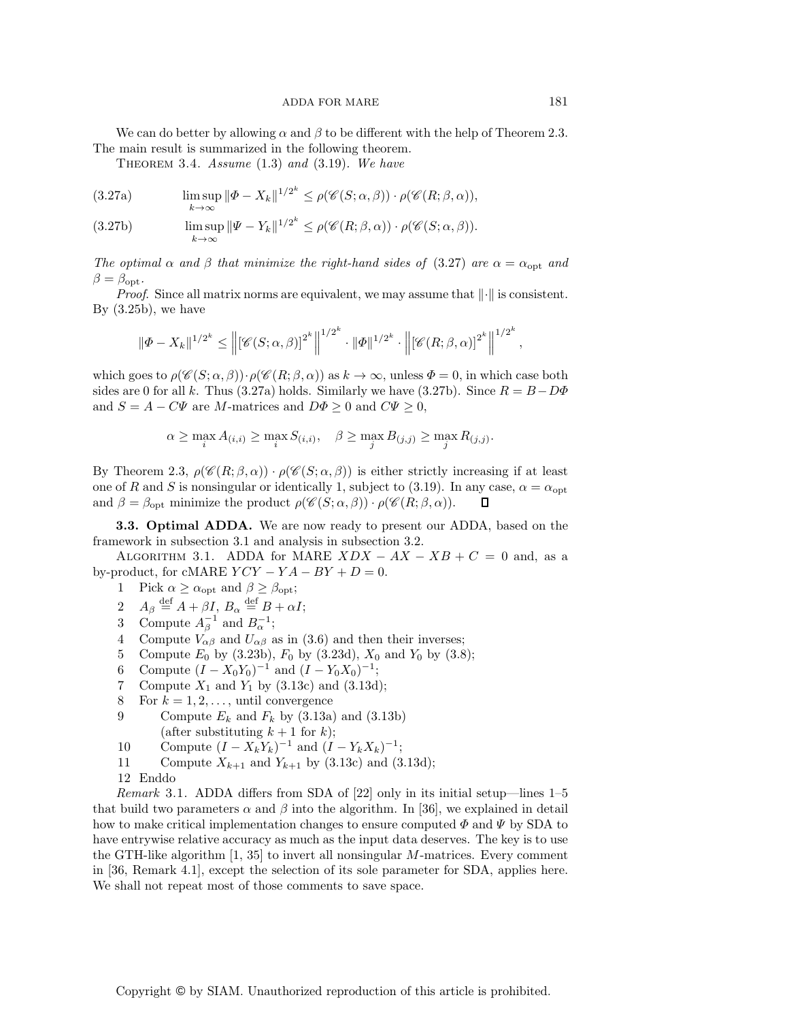We can do better by allowing  $\alpha$  and  $\beta$  to be different with the help of Theorem 2.3. The main result is summarized in the following theorem.

Theorem 3.4. *Assume* (1.3) *and* (3.19)*. We have*

(3.27a) 
$$
\limsup_{k \to \infty} \|\Phi - X_k\|^{1/2^k} \le \rho(\mathscr{C}(S; \alpha, \beta)) \cdot \rho(\mathscr{C}(R; \beta, \alpha)),
$$

(3.27b) 
$$
\limsup_{k \to \infty} \|\Psi - Y_k\|^{1/2^k} \le \rho(\mathscr{C}(R;\beta,\alpha)) \cdot \rho(\mathscr{C}(S;\alpha,\beta)).
$$

*The optimal*  $\alpha$  *and*  $\beta$  *that minimize the right-hand sides of* (3.27) *are*  $\alpha = \alpha_{\text{opt}}$  *and*  $\beta = \beta_{\rm opt}$ .

*Proof.* Since all matrix norms are equivalent, we may assume that  $\|\cdot\|$  is consistent. By  $(3.25b)$ , we have

$$
\|\Phi - X_k\|^{1/2^k} \le \left\| \left[ \mathscr{C}(S;\alpha,\beta) \right]^{2^k} \right\|^{1/2^k} \cdot \|\Phi\|^{1/2^k} \cdot \left\| \left[ \mathscr{C}(R;\beta,\alpha) \right]^{2^k} \right\|^{1/2^k},
$$

which goes to  $\rho(\mathscr{C}(S;\alpha,\beta))\cdot \rho(\mathscr{C}(R;\beta,\alpha))$  as  $k\to\infty$ , unless  $\Phi=0$ , in which case both sides are 0 for all k. Thus (3.27a) holds. Similarly we have (3.27b). Since  $R = B - D\Phi$ and  $S = A - C\Psi$  are M-matrices and  $D\Phi \geq 0$  and  $C\Psi \geq 0$ ,

$$
\alpha \ge \max_i A_{(i,i)} \ge \max_i S_{(i,i)}, \quad \beta \ge \max_j B_{(j,j)} \ge \max_j R_{(j,j)}.
$$

By Theorem 2.3,  $\rho(\mathscr{C}(R;\beta,\alpha)) \cdot \rho(\mathscr{C}(S;\alpha,\beta))$  is either strictly increasing if at least one of R and S is nonsingular or identically 1, subject to (3.19). In any case,  $\alpha = \alpha_{opt}$ <br>and  $\beta = \beta_{opt}$  minimize the product  $\rho(\mathscr{C}(S; \alpha, \beta)) \cdot \rho(\mathscr{C}(R; \beta, \alpha))$ . and  $\beta = \beta_{\text{opt}}$  minimize the product  $\rho(\mathscr{C}(S; \alpha, \beta)) \cdot \rho(\mathscr{C}(R; \beta, \alpha)).$ 

**3.3. Optimal ADDA.** We are now ready to present our ADDA, based on the framework in subsection 3.1 and analysis in subsection 3.2.

ALGORITHM 3.1. ADDA for MARE  $XDX - AX - XB + C = 0$  and, as a by-product, for cMARE  $YCY - YA - BY + D = 0$ .

1 Pick  $\alpha \ge \alpha_{\text{opt}}$  and  $\beta \ge \beta_{\text{opt}}$ ;<br>2  $A_{\beta} \stackrel{\text{def}}{=} A + \beta I$ ,  $B_{\alpha} \stackrel{\text{def}}{=} B + \alpha$ .

- 2  $A_{\beta} \stackrel{\text{def}}{=} A + \beta I, B_{\alpha} \stackrel{\text{def}}{=} B + \alpha I;$ <br>3 Compute  $A^{-1}$  and  $B^{-1}$ .
- 3 Compute  $A_\beta^{-1}$  and  $B_\alpha^{-1}$ ;
- 4 Compute  $V_{\alpha\beta}$  and  $U_{\alpha\beta}$  as in (3.6) and then their inverses;
- 5 Compute  $E_0$  by (3.23b),  $F_0$  by (3.23d),  $X_0$  and  $Y_0$  by (3.8);<br>6 Compute  $(I X_0Y_0)^{-1}$  and  $(I Y_0X_0)^{-1}$ .
- 6 Compute  $(I X_0Y_0)^{-1}$  and  $(I Y_0X_0)^{-1}$ ;<br>7 Compute  $X_1$  and  $Y_1$  by (3.13c) and (3.13d)
- 7 Compute  $X_1$  and  $Y_1$  by (3.13c) and (3.13d);<br>8 For  $k = 1, 2, \ldots$ , until convergence
- 8 For  $k = 1, 2, \ldots$ , until convergence<br>9 Compute  $E_k$  and  $F_k$  by (3.13a)
- Compute  $E_k$  and  $F_k$  by (3.13a) and (3.13b)<br>(after substituting  $k+1$  for k); (after substituting  $k + 1$  for k);<br>Compute  $(I - X, V, )^{-1}$  and  $(I - I)$
- 10 Compute  $(I X_k Y_k)^{-1}$  and  $(I Y_k X_k)^{-1}$ ;<br>11 Compute  $Y_{k+1}$  and  $Y_{k+1}$  by (3.13c) and (3
- 11 Compute  $X_{k+1}$  and  $Y_{k+1}$  by (3.13c) and (3.13d);
- 12 Enddo

*Remark* 3.1. ADDA differs from SDA of [22] only in its initial setup—lines 1–5 that build two parameters  $\alpha$  and  $\beta$  into the algorithm. In [36], we explained in detail how to make critical implementation changes to ensure computed  $\Phi$  and  $\Psi$  by SDA to have entrywise relative accuracy as much as the input data deserves. The key is to use the GTH-like algorithm  $\left|1, 35\right|$  to invert all nonsingular M-matrices. Every comment in [36, Remark 4.1], except the selection of its sole parameter for SDA, applies here. We shall not repeat most of those comments to save space.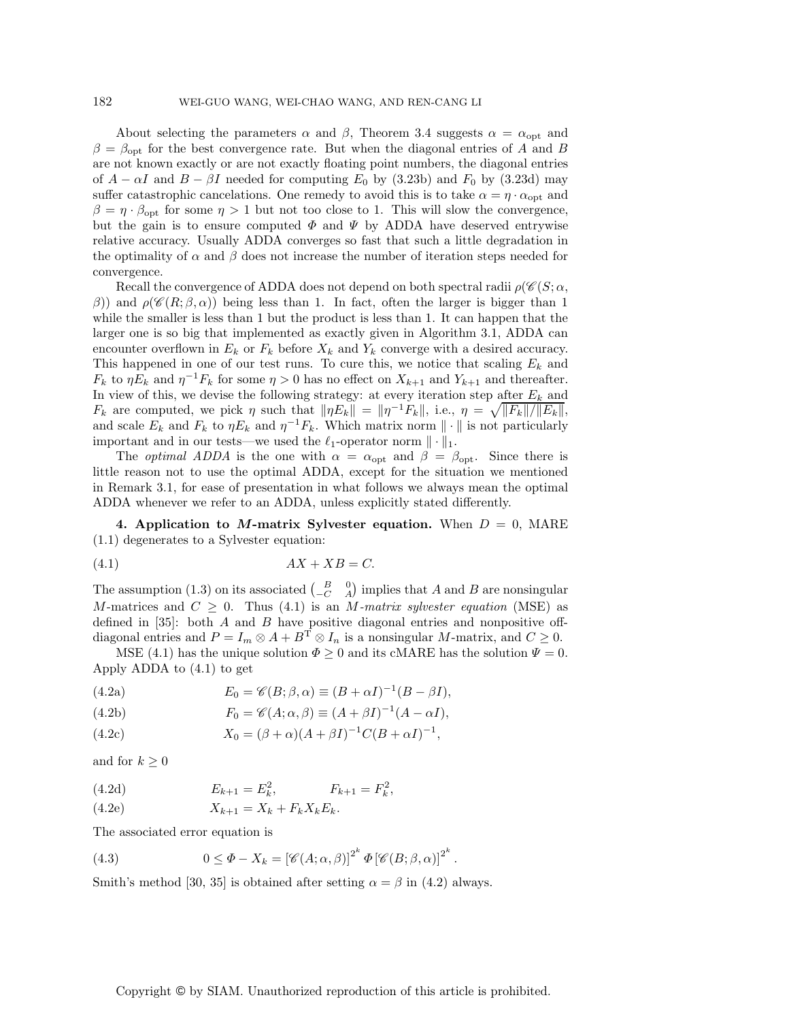About selecting the parameters  $\alpha$  and  $\beta$ , Theorem 3.4 suggests  $\alpha = \alpha_{opt}$  and  $\beta = \beta_{\rm opt}$  for the best convergence rate. But when the diagonal entries of A and B are not known exactly or are not exactly floating point numbers, the diagonal entries of  $A - \alpha I$  and  $B - \beta I$  needed for computing  $E_0$  by (3.23b) and  $F_0$  by (3.23d) may suffer catastrophic cancelations. One remedy to avoid this is to take  $\alpha = \eta \cdot \alpha_{opt}$  and  $\beta = \eta \cdot \beta_{\rm opt}$  for some  $\eta > 1$  but not too close to 1. This will slow the convergence, but the gain is to ensure computed  $\Phi$  and  $\Psi$  by ADDA have deserved entrywise relative accuracy. Usually ADDA converges so fast that such a little degradation in the optimality of  $\alpha$  and  $\beta$  does not increase the number of iteration steps needed for convergence.

Recall the convergence of ADDA does not depend on both spectral radii  $\rho(\mathscr{C}(S; \alpha,$ β)) and  $ρ(F(R; β, α))$  being less than 1. In fact, often the larger is bigger than 1 while the smaller is less than 1 but the product is less than 1. It can happen that the larger one is so big that implemented as exactly given in Algorithm 3.1, ADDA can encounter overflown in  $E_k$  or  $F_k$  before  $X_k$  and  $Y_k$  converge with a desired accuracy. This happened in one of our test runs. To cure this, we notice that scaling  $E_k$  and  $F_k$  to  $\eta E_k$  and  $\eta^{-1} F_k$  for some  $\eta > 0$  has no effect on  $X_{k+1}$  and  $Y_{k+1}$  and thereafter. In view of this, we devise the following strategy: at every iteration step after  $E_k$  and  $F_k$  are computed, we pick  $\eta$  such that  $\|\eta E_k\| = \|\eta^{-1}F_k\|$ , i.e.,  $\eta = \sqrt{\|F_k\|/\|E_k\|}$ , and scale  $E_k$  and  $F_k$  to  $\eta E_k$  and  $\eta^{-1} F_k$ . Which matrix norm  $\|\cdot\|$  is not particularly important and in our tests—we used the  $\ell_1$ -operator norm  $\|\cdot\|_1$ .

The *optimal ADDA* is the one with  $\alpha = \alpha_{\text{opt}}$  and  $\beta = \beta_{\text{opt}}$ . Since there is little reason not to use the optimal ADDA, except for the situation we mentioned in Remark 3.1, for ease of presentation in what follows we always mean the optimal ADDA whenever we refer to an ADDA, unless explicitly stated differently.

**4. Application to M-matrix Sylvester equation.** When  $D = 0$ , MARE (1.1) degenerates to a Sylvester equation:

$$
(4.1) \t\t AX + XB = C.
$$

The assumption (1.3) on its associated  $\begin{pmatrix} B & 0 \ -C & A \end{pmatrix}$  implies that A and B are nonsingular M metrics and  $C > 0$ . Thus (4.1) is an M metric subset associated (MSE) as M-matrices and  $C \geq 0$ . Thus (4.1) is an M-matrix sylvester equation (MSE) as defined in  $[35]$ : both A and B have positive diagonal entries and nonpositive offdiagonal entries and  $P = I_m \otimes A + B^T \otimes I_n$  is a nonsingular M-matrix, and  $C \geq 0$ .

MSE (4.1) has the unique solution  $\Phi \geq 0$  and its cMARE has the solution  $\Psi = 0$ . Apply ADDA to (4.1) to get

(4.2a) 
$$
E_0 = \mathscr{C}(B; \beta, \alpha) \equiv (B + \alpha I)^{-1} (B - \beta I),
$$

(4.2b) 
$$
F_0 = \mathscr{C}(A; \alpha, \beta) \equiv (A + \beta I)^{-1} (A - \alpha I),
$$

(4.2c) 
$$
X_0 = (\beta + \alpha)(A + \beta I)^{-1}C(B + \alpha I)^{-1},
$$

and for  $k \geq 0$ 

(4.2d) 
$$
E_{k+1} = E_k^2, \qquad F_{k+1} = F_k^2,
$$

(4.2e) 
$$
X_{k+1} = X_k + F_k X_k E_k.
$$

The associated error equation is

(4.3) 
$$
0 \leq \Phi - X_k = \left[\mathscr{C}(A;\alpha,\beta)\right]^{2^k} \Phi \left[\mathscr{C}(B;\beta,\alpha)\right]^{2^k}.
$$

Smith's method [30, 35] is obtained after setting  $\alpha = \beta$  in (4.2) always.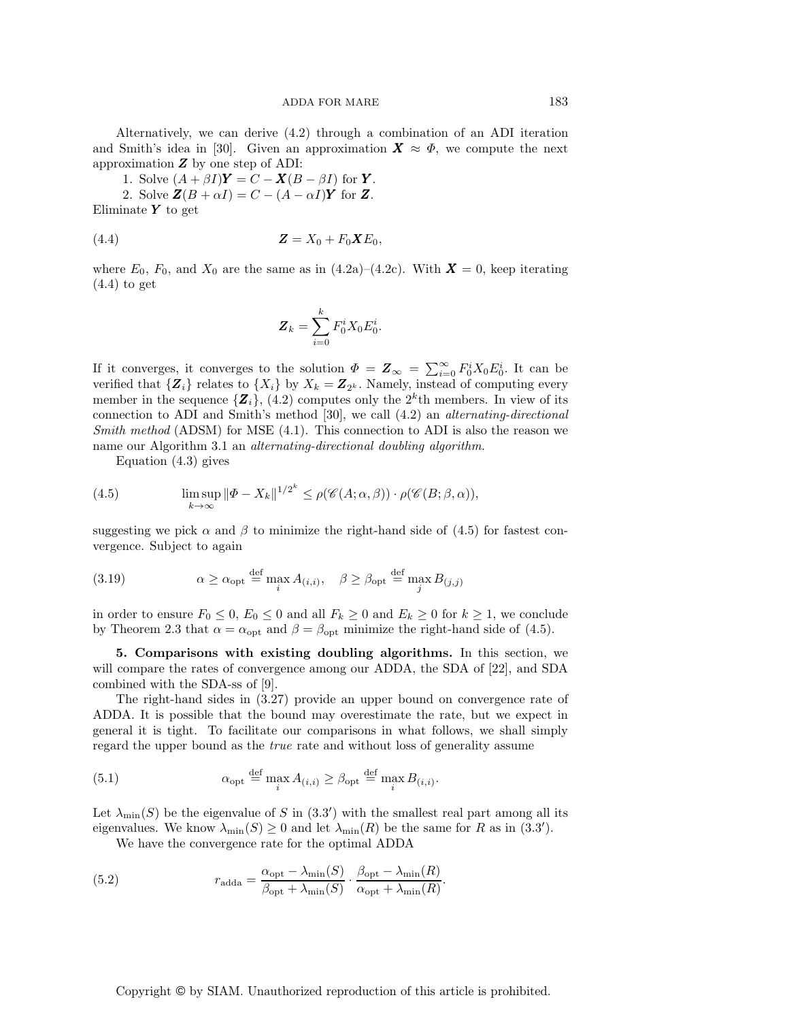Alternatively, we can derive (4.2) through a combination of an ADI iteration and Smith's idea in [30]. Given an approximation  $\mathbf{X} \approx \Phi$ , we compute the next approximation  $Z$  by one step of ADI:

1. Solve  $(A + \beta I)\mathbf{Y} = C - \mathbf{X}(B - \beta I)$  for **Y**.

2. Solve  $\mathbf{Z}(B+\alpha I) = C - (A - \alpha I)\mathbf{Y}$  for  $\mathbf{Z}$ . Eliminate  $Y$  to get

$$
\mathbf{Z} = X_0 + F_0 \mathbf{X} E_0,
$$

where  $E_0$ ,  $F_0$ , and  $X_0$  are the same as in (4.2a)–(4.2c). With  $\boldsymbol{X} = 0$ , keep iterating  $(4.4)$  to get

$$
\boldsymbol{Z}_k = \sum_{i=0}^k F_0^i X_0 E_0^i.
$$

If it converges, it converges to the solution  $\Phi = \mathbf{Z}_{\infty} = \sum_{i=0}^{\infty} F_0^i X_0 E_0^i$ . It can be verified that  $\{Z_i\}$  relates to  $\{Y_i\}$  by  $Y_i = \mathbf{Z}_{\infty}$ . Namely, instead of computing every verified that  $\{Z_i\}$  relates to  $\{X_i\}$  by  $X_k = Z_{2^k}$ . Namely, instead of computing every member in the sequence  $\{Z_i\}$ , (4.2) computes only the  $2^k$ th members. In view of its connection to ADI and Smith's method [30], we call (4.2) an *alternating-directional Smith method* (ADSM) for MSE (4.1). This connection to ADI is also the reason we name our Algorithm 3.1 an *alternating-directional doubling algorithm*.

Equation (4.3) gives

(4.5) 
$$
\limsup_{k \to \infty} \|\Phi - X_k\|^{1/2^k} \le \rho(\mathscr{C}(A; \alpha, \beta)) \cdot \rho(\mathscr{C}(B; \beta, \alpha)),
$$

suggesting we pick  $\alpha$  and  $\beta$  to minimize the right-hand side of (4.5) for fastest convergence. Subject to again

(3.19) 
$$
\alpha \ge \alpha_{\text{opt}} \stackrel{\text{def}}{=} \max_{i} A_{(i,i)}, \quad \beta \ge \beta_{\text{opt}} \stackrel{\text{def}}{=} \max_{j} B_{(j,j)}
$$

in order to ensure  $F_0 \le 0$ ,  $E_0 \le 0$  and all  $F_k \ge 0$  and  $E_k \ge 0$  for  $k \ge 1$ , we conclude by Theorem 2.3 that  $\alpha = \alpha_{\text{opt}}$  and  $\beta = \beta_{\text{opt}}$  minimize the right-hand side of (4.5).

**5. Comparisons with existing doubling algorithms.** In this section, we will compare the rates of convergence among our ADDA, the SDA of [22], and SDA combined with the SDA-ss of [9].

The right-hand sides in (3.27) provide an upper bound on convergence rate of ADDA. It is possible that the bound may overestimate the rate, but we expect in general it is tight. To facilitate our comparisons in what follows, we shall simply regard the upper bound as the *true* rate and without loss of generality assume

(5.1) 
$$
\alpha_{\text{opt}} \stackrel{\text{def}}{=} \max_{i} A_{(i,i)} \ge \beta_{\text{opt}} \stackrel{\text{def}}{=} \max_{i} B_{(i,i)}.
$$

Let  $\lambda_{\min}(S)$  be the eigenvalue of S in  $(3.3')$  with the smallest real part among all its<br>eigenvalues We know  $\lambda_{\min}(S) > 0$  and let  $\lambda_{\min}(R)$  be the same for R as in  $(3.3')$ eigenvalues. We know  $\lambda_{\min}(S) \ge 0$  and let  $\lambda_{\min}(R)$  be the same for R as in (3.3').<br>We have the convergence rate for the optimal ADDA

We have the convergence rate for the optimal ADDA

(5.2) 
$$
r_{\text{adda}} = \frac{\alpha_{\text{opt}} - \lambda_{\text{min}}(S)}{\beta_{\text{opt}} + \lambda_{\text{min}}(S)} \cdot \frac{\beta_{\text{opt}} - \lambda_{\text{min}}(R)}{\alpha_{\text{opt}} + \lambda_{\text{min}}(R)}.
$$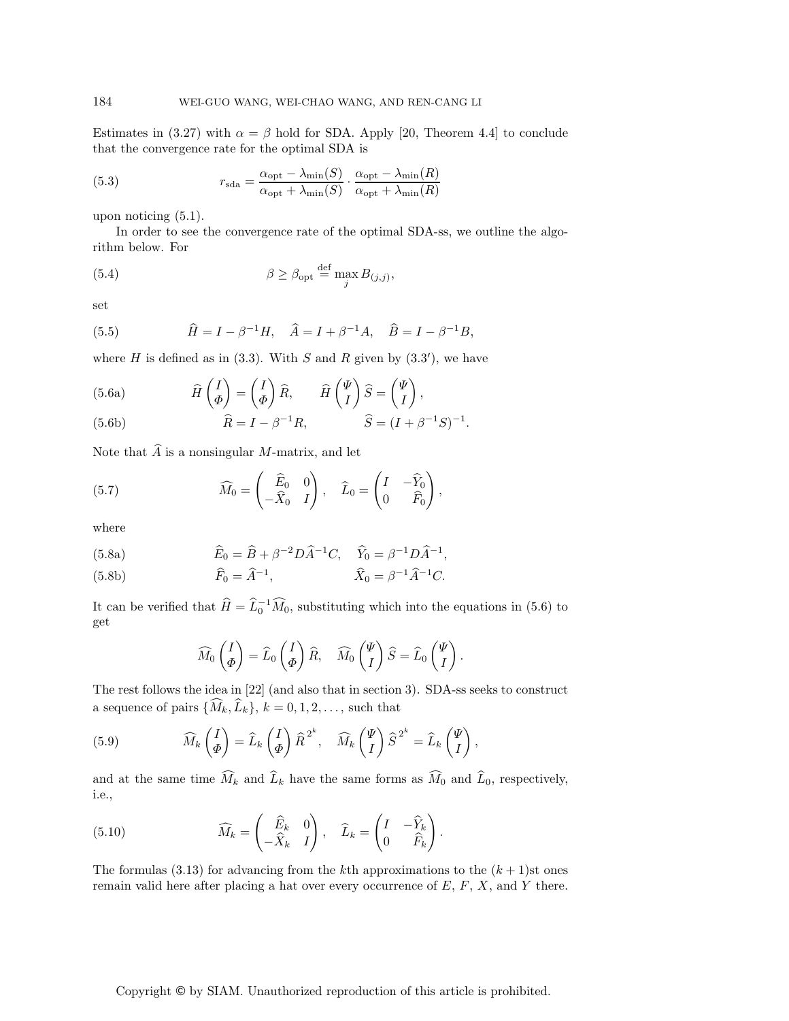Estimates in (3.27) with  $\alpha = \beta$  hold for SDA. Apply [20, Theorem 4.4] to conclude that the convergence rate for the optimal SDA is

(5.3) 
$$
r_{\text{sda}} = \frac{\alpha_{\text{opt}} - \lambda_{\text{min}}(S)}{\alpha_{\text{opt}} + \lambda_{\text{min}}(S)} \cdot \frac{\alpha_{\text{opt}} - \lambda_{\text{min}}(R)}{\alpha_{\text{opt}} + \lambda_{\text{min}}(R)}
$$

upon noticing (5.1).

In order to see the convergence rate of the optimal SDA-ss, we outline the algorithm below. For

(5.4) 
$$
\beta \geq \beta_{\text{opt}} \stackrel{\text{def}}{=} \max_{j} B_{(j,j)},
$$

set

(5.5) 
$$
\hat{H} = I - \beta^{-1}H, \quad \hat{A} = I + \beta^{-1}A, \quad \hat{B} = I - \beta^{-1}B,
$$

where *H* is defined as in (3.3). With *S* and *R* given by (3.3'), we have

(5.6a) 
$$
\widehat{H}\begin{pmatrix} I \\ \Phi \end{pmatrix} = \begin{pmatrix} I \\ \Phi \end{pmatrix} \widehat{R}, \qquad \widehat{H}\begin{pmatrix} \Psi \\ I \end{pmatrix} \widehat{S} = \begin{pmatrix} \Psi \\ I \end{pmatrix},
$$

(5.6b) 
$$
\widehat{R} = I - \beta^{-1} R, \qquad \widehat{S} = (I + \beta^{-1} S)^{-1}.
$$

Note that  $\widehat{A}$  is a nonsingular M-matrix, and let

(5.7) 
$$
\widehat{M}_0 = \begin{pmatrix} \widehat{E}_0 & 0 \\ -\widehat{X}_0 & I \end{pmatrix}, \quad \widehat{L}_0 = \begin{pmatrix} I & -\widehat{Y}_0 \\ 0 & \widehat{F}_0 \end{pmatrix},
$$

where

(5.8a) 
$$
\widehat{E}_0 = \widehat{B} + \beta^{-2} D \widehat{A}^{-1} C, \quad \widehat{Y}_0 = \beta^{-1} D \widehat{A}^{-1},
$$

(5.8b) 
$$
\widehat{F}_0 = \widehat{A}^{-1}, \qquad \widehat{X}_0 = \beta^{-1} \widehat{A}^{-1} C.
$$

It can be verified that  $\widehat{H} = \widehat{L}_0^{-1} \widehat{M}_0$ , substituting which into the equations in (5.6) to get

$$
\widehat{M}_0 \begin{pmatrix} I \\ \varPhi \end{pmatrix} = \widehat{L}_0 \begin{pmatrix} I \\ \varPhi \end{pmatrix} \widehat{R}, \quad \widehat{M}_0 \begin{pmatrix} \Psi \\ I \end{pmatrix} \widehat{S} = \widehat{L}_0 \begin{pmatrix} \Psi \\ I \end{pmatrix}.
$$

The rest follows the idea in [22] (and also that in section 3). SDA-ss seeks to construct a sequence of pairs  $\{M_k, L_k\}, k = 0, 1, 2, \ldots$ , such that

(5.9) 
$$
\widehat{M}_k \begin{pmatrix} I \\ \varPhi \end{pmatrix} = \widehat{L}_k \begin{pmatrix} I \\ \varPhi \end{pmatrix} \widehat{R}^{2^k}, \quad \widehat{M}_k \begin{pmatrix} \Psi \\ I \end{pmatrix} \widehat{S}^{2^k} = \widehat{L}_k \begin{pmatrix} \Psi \\ I \end{pmatrix},
$$

and at the same time  $M_k$  and  $L_k$  have the same forms as  $M_0$  and  $L_0$ , respectively, i.e.,

(5.10) 
$$
\widehat{M}_k = \begin{pmatrix} \widehat{E}_k & 0 \\ -\widehat{X}_k & I \end{pmatrix}, \quad \widehat{L}_k = \begin{pmatrix} I & -\widehat{Y}_k \\ 0 & \widehat{F}_k \end{pmatrix}.
$$

The formulas (3.13) for advancing from the kth approximations to the  $(k + 1)$ st ones remain valid here after placing a hat over every occurrence of  $E, F, X$ , and Y there.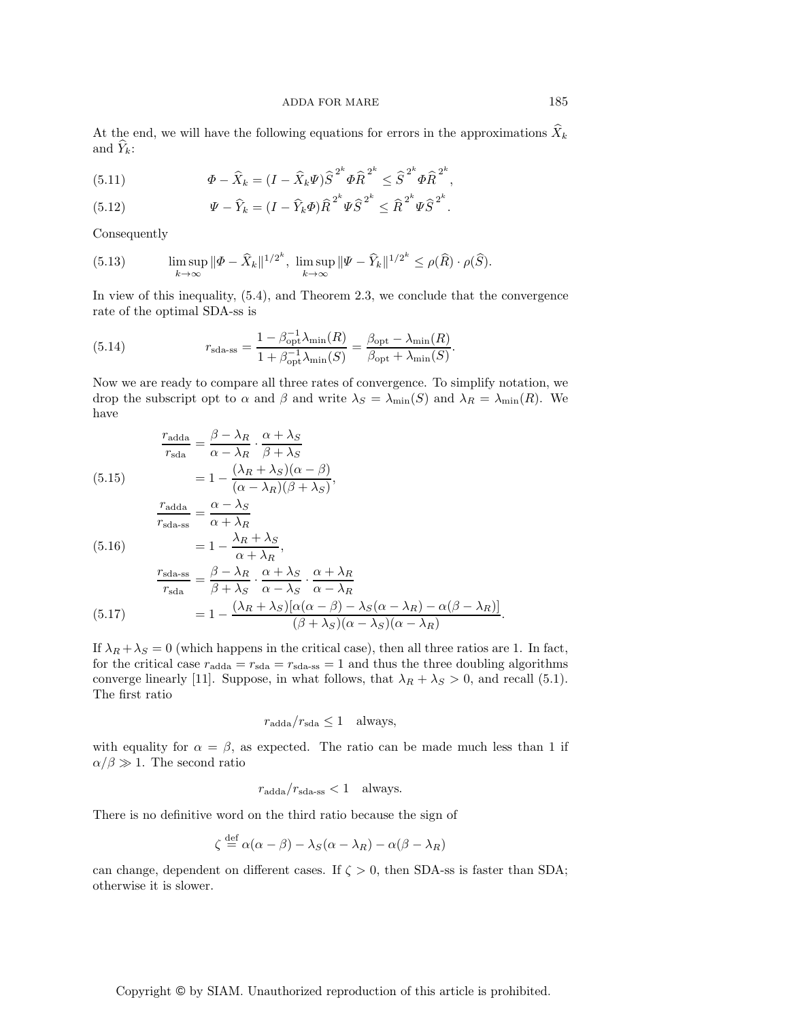At the end, we will have the following equations for errors in the approximations  $\hat{X}_k$ and  $\hat{Y}_k$ :

(5.11) 
$$
\Phi - \widehat{X}_k = (I - \widehat{X}_k \Psi) \widehat{S}^{2^k} \Phi \widehat{R}^{2^k} \le \widehat{S}^{2^k} \Phi \widehat{R}^{2^k},
$$

(5.12) 
$$
\Psi - \widehat{Y}_k = (I - \widehat{Y}_k \Phi) \widehat{R}^{2^k} \Psi \widehat{S}^{2^k} \leq \widehat{R}^{2^k} \Psi \widehat{S}^{2^k}.
$$

Consequently

(5.13) 
$$
\limsup_{k \to \infty} \|\Phi - \widehat{X}_k\|^{1/2^k}, \ \limsup_{k \to \infty} \|\Psi - \widehat{Y}_k\|^{1/2^k} \le \rho(\widehat{R}) \cdot \rho(\widehat{S}).
$$

In view of this inequality, (5.4), and Theorem 2.3, we conclude that the convergence rate of the optimal SDA-ss is

(5.14) 
$$
r_{\text{sda-ss}} = \frac{1 - \beta_{\text{opt}}^{-1} \lambda_{\min}(R)}{1 + \beta_{\text{opt}}^{-1} \lambda_{\min}(S)} = \frac{\beta_{\text{opt}} - \lambda_{\min}(R)}{\beta_{\text{opt}} + \lambda_{\min}(S)}.
$$

Now we are ready to compare all three rates of convergence. To simplify notation, we drop the subscript opt to  $\alpha$  and  $\beta$  and write  $\lambda_S = \lambda_{\min}(S)$  and  $\lambda_R = \lambda_{\min}(R)$ . We have

$$
(5.15)
$$

 $r_{\text{adda}}$ 

 $=\frac{\beta - \lambda_R}{\alpha}$ 

$$
\frac{r_{\text{adda}}}{r_{\text{sda}}} = \frac{\beta - \lambda_R}{\alpha - \lambda_R} \cdot \frac{\alpha + \lambda_S}{\beta + \lambda_S}
$$
\n(5.15)\n
$$
= 1 - \frac{(\lambda_R + \lambda_S)(\alpha - \beta)}{(\alpha - \lambda_R)(\beta + \lambda_S)},
$$
\n
$$
\frac{r_{\text{adda}}}{r_{\text{sda-ss}}} = \frac{\alpha - \lambda_S}{\alpha + \lambda_R}
$$
\n(5.16)\n
$$
= 1 - \frac{\lambda_R + \lambda_S}{\alpha + \lambda_R},
$$
\n
$$
\frac{r_{\text{sda-ss}}}{r_{\text{sda}}} = \frac{\beta - \lambda_R}{\beta + \lambda_S} \cdot \frac{\alpha + \lambda_S}{\alpha - \lambda_S} \cdot \frac{\alpha + \lambda_R}{\alpha - \lambda_R}
$$
\n(5.17)\n
$$
= 1 - \frac{(\lambda_R + \lambda_S)[\alpha(\alpha - \beta) - \lambda_S(\alpha - \lambda_R) - \alpha(\beta - \lambda_R)]}{(\beta + \lambda_S)(\alpha - \lambda_S)(\alpha - \lambda_R)}.
$$

If  $\lambda_R + \lambda_S = 0$  (which happens in the critical case), then all three ratios are 1. In fact, for the critical case  $r_{\text{adda}} = r_{\text{sda} - \text{sgn}} = 1$  and thus the three doubling algorithms converge linearly [11]. Suppose, in what follows, that  $\lambda_R + \lambda_S > 0$ , and recall (5.1). The first ratio

$$
r_{\rm adda}/r_{\rm sda} \le 1 \quad \text{always},
$$

with equality for  $\alpha = \beta$ , as expected. The ratio can be made much less than 1 if  $\alpha/\beta \gg 1$ . The second ratio

$$
r_{\rm adda}/r_{\rm sda\text{-ss}} < 1 \quad \text{always.}
$$

There is no definitive word on the third ratio because the sign of

$$
\zeta \stackrel{\text{def}}{=} \alpha(\alpha - \beta) - \lambda_S(\alpha - \lambda_R) - \alpha(\beta - \lambda_R)
$$

can change, dependent on different cases. If  $\zeta > 0$ , then SDA-ss is faster than SDA; otherwise it is slower.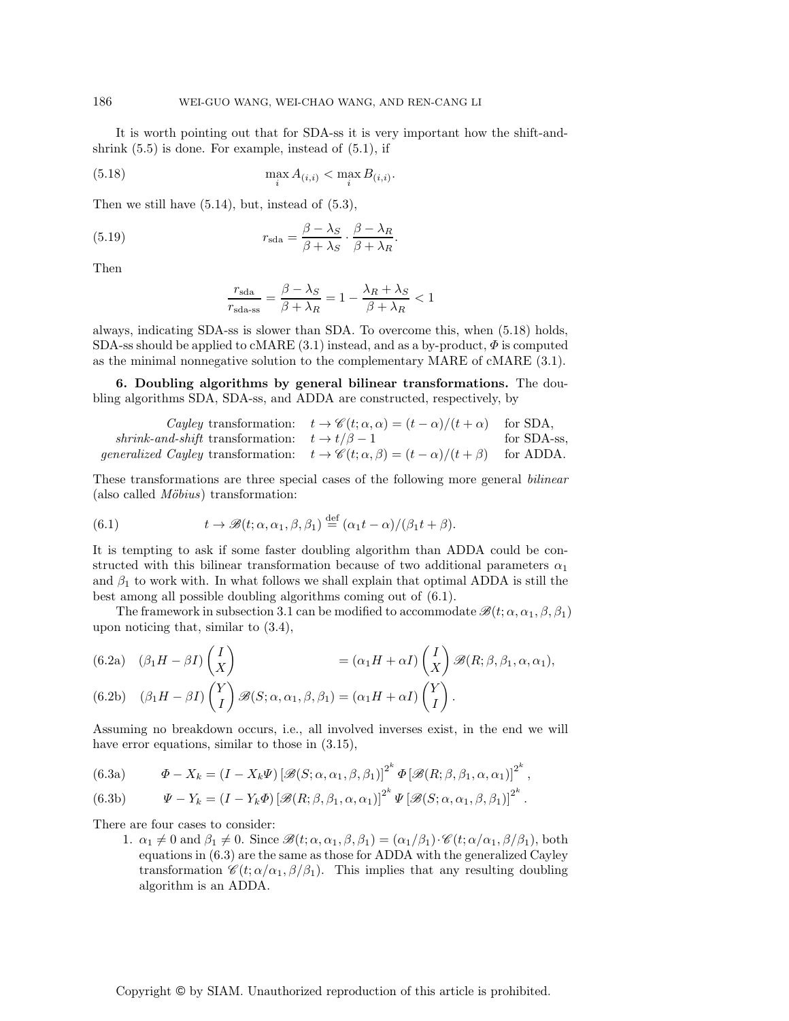It is worth pointing out that for SDA-ss it is very important how the shift-andshrink  $(5.5)$  is done. For example, instead of  $(5.1)$ , if

(5.18) 
$$
\max_{i} A_{(i,i)} < \max_{i} B_{(i,i)}.
$$

Then we still have (5.14), but, instead of (5.3),

(5.19) 
$$
r_{\rm sda} = \frac{\beta - \lambda_S}{\beta + \lambda_S} \cdot \frac{\beta - \lambda_R}{\beta + \lambda_R}.
$$

Then

$$
\frac{r_{\text{sda}}}{r_{\text{sda-ss}}} = \frac{\beta - \lambda_S}{\beta + \lambda_R} = 1 - \frac{\lambda_R + \lambda_S}{\beta + \lambda_R} < 1
$$

always, indicating SDA-ss is slower than SDA. To overcome this, when (5.18) holds, SDA-ss should be applied to cMARE  $(3.1)$  instead, and as a by-product,  $\Phi$  is computed as the minimal nonnegative solution to the complementary MARE of cMARE (3.1).

**6. Doubling algorithms by general bilinear transformations.** The doubling algorithms SDA, SDA-ss, and ADDA are constructed, respectively, by

|                                                                                                                      | Cayley transformation: $t \to \mathscr{C}(t; \alpha, \alpha) = (t - \alpha)/(t + \alpha)$ | for SDA,    |
|----------------------------------------------------------------------------------------------------------------------|-------------------------------------------------------------------------------------------|-------------|
| shrink-and-shift transformation: $t \to t/\beta - 1$                                                                 |                                                                                           | for SDA-ss. |
| <i>generalized Cayley</i> transformation: $t \to \mathscr{C}(t; \alpha, \beta) = (t - \alpha)/(t + \beta)$ for ADDA. |                                                                                           |             |
|                                                                                                                      |                                                                                           |             |

These transformations are three special cases of the following more general *bilinear* (also called *Möbius*) transformation:

(6.1) 
$$
t \to \mathscr{B}(t; \alpha, \alpha_1, \beta, \beta_1) \stackrel{\text{def}}{=} (\alpha_1 t - \alpha) / (\beta_1 t + \beta).
$$

It is tempting to ask if some faster doubling algorithm than ADDA could be constructed with this bilinear transformation because of two additional parameters  $\alpha_1$ and  $\beta_1$  to work with. In what follows we shall explain that optimal ADDA is still the best among all possible doubling algorithms coming out of (6.1).

The framework in subsection 3.1 can be modified to accommodate  $\mathscr{B}(t; \alpha, \alpha_1, \beta, \beta_1)$ upon noticing that, similar to (3.4),

(6.2a) 
$$
(\beta_1 H - \beta I) \begin{pmatrix} I \\ X \end{pmatrix} = (\alpha_1 H + \alpha I) \begin{pmatrix} I \\ X \end{pmatrix} \mathscr{B}(R; \beta, \beta_1, \alpha, \alpha_1),
$$
  
(6.2b) 
$$
(\beta_1 H - \beta I) \begin{pmatrix} Y \\ I \end{pmatrix} \mathscr{B}(S; \alpha, \alpha_1, \beta, \beta_1) = (\alpha_1 H + \alpha I) \begin{pmatrix} Y \\ I \end{pmatrix}.
$$

Assuming no breakdown occurs, i.e., all involved inverses exist, in the end we will have error equations, similar to those in  $(3.15)$ ,

(6.3a) 
$$
\Phi - X_k = (I - X_k \Psi) \left[ \mathcal{B}(S; \alpha, \alpha_1, \beta, \beta_1) \right]^{2^k} \Phi \left[ \mathcal{B}(R; \beta, \beta_1, \alpha, \alpha_1) \right]^{2^k},
$$

(6.3b) 
$$
\Psi - Y_k = (I - Y_k \Phi) \left[ \mathcal{B}(R; \beta, \beta_1, \alpha, \alpha_1) \right]^{2^k} \Psi \left[ \mathcal{B}(S; \alpha, \alpha_1, \beta, \beta_1) \right]^{2^k}.
$$

There are four cases to consider:

1.  $\alpha_1 \neq 0$  and  $\beta_1 \neq 0$ . Since  $\mathscr{B}(t; \alpha, \alpha_1, \beta, \beta_1) = (\alpha_1/\beta_1) \cdot \mathscr{C}(t; \alpha/\alpha_1, \beta/\beta_1)$ , both equations in (6.3) are the same as those for ADDA with the generalized Cayley transformation  $\mathscr{C}(t; \alpha/\alpha_1, \beta/\beta_1)$ . This implies that any resulting doubling algorithm is an ADDA.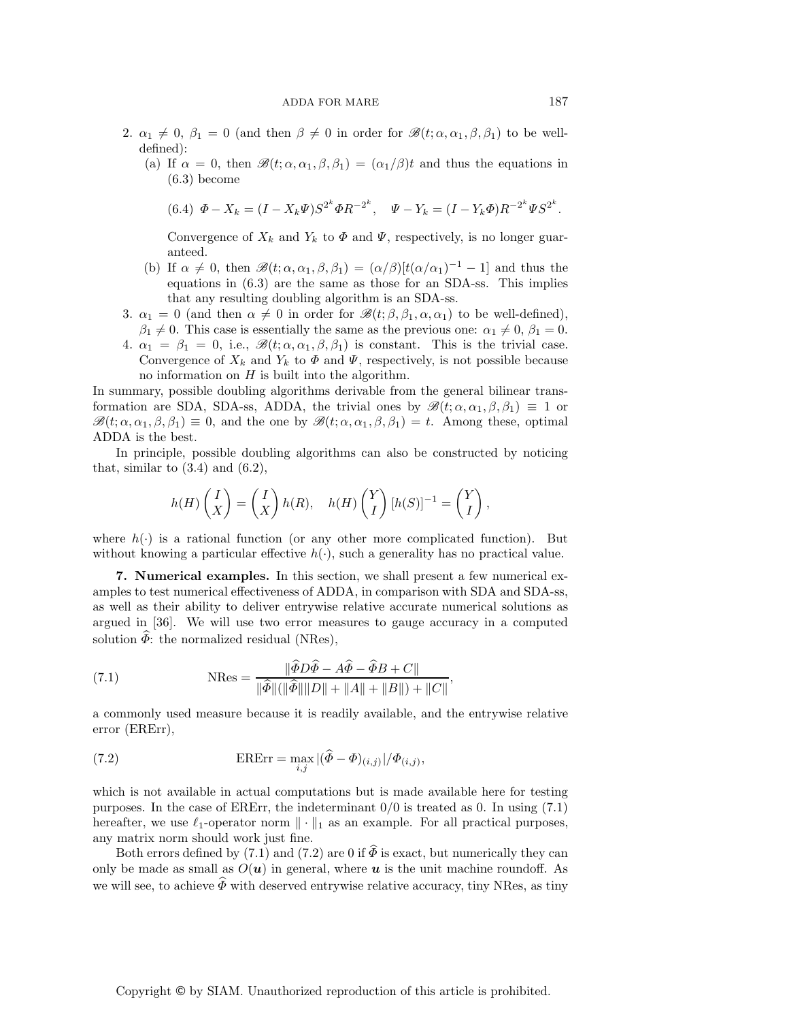- 2.  $\alpha_1 \neq 0$ ,  $\beta_1 = 0$  (and then  $\beta \neq 0$  in order for  $\mathscr{B}(t; \alpha, \alpha_1, \beta, \beta_1)$  to be welldefined):
	- (a) If  $\alpha = 0$ , then  $\mathscr{B}(t; \alpha, \alpha_1, \beta, \beta_1) = (\alpha_1/\beta)t$  and thus the equations in (6.3) become

$$
(6.4) \ \Phi - X_k = (I - X_k \Psi) S^{2^k} \Phi R^{-2^k}, \quad \Psi - Y_k = (I - Y_k \Phi) R^{-2^k} \Psi S^{2^k}.
$$

Convergence of  $X_k$  and  $Y_k$  to  $\Phi$  and  $\Psi$ , respectively, is no longer guaranteed.

- (b) If  $\alpha \neq 0$ , then  $\mathscr{B}(t; \alpha, \alpha_1, \beta, \beta_1) = (\alpha/\beta)[t(\alpha/\alpha_1)^{-1} 1]$  and thus the equations in (6.3) are the same as those for an SDA-ss. This implies that any resulting doubling algorithm is an SDA-ss.
- 3.  $\alpha_1 = 0$  (and then  $\alpha \neq 0$  in order for  $\mathscr{B}(t; \beta, \beta_1, \alpha, \alpha_1)$  to be well-defined),
- $\beta_1 \neq 0$ . This case is essentially the same as the previous one:  $\alpha_1 \neq 0$ ,  $\beta_1 = 0$ . 4.  $\alpha_1 = \beta_1 = 0$ , i.e.,  $\mathscr{B}(t; \alpha, \alpha_1, \beta, \beta_1)$  is constant. This is the trivial case. Convergence of  $X_k$  and  $Y_k$  to  $\Phi$  and  $\Psi$ , respectively, is not possible because no information on  $H$  is built into the algorithm.

In summary, possible doubling algorithms derivable from the general bilinear transformation are SDA, SDA-ss, ADDA, the trivial ones by  $\mathscr{B}(t; \alpha, \alpha_1, \beta, \beta_1) \equiv 1$  or  $\mathscr{B}(t; \alpha, \alpha_1, \beta, \beta_1) \equiv 0$ , and the one by  $\mathscr{B}(t; \alpha, \alpha_1, \beta, \beta_1) = t$ . Among these, optimal ADDA is the best.

In principle, possible doubling algorithms can also be constructed by noticing that, similar to  $(3.4)$  and  $(6.2)$ ,

$$
h(H)\begin{pmatrix} I \\ X \end{pmatrix} = \begin{pmatrix} I \\ X \end{pmatrix} h(R), \quad h(H)\begin{pmatrix} Y \\ I \end{pmatrix} [h(S)]^{-1} = \begin{pmatrix} Y \\ I \end{pmatrix},
$$

where  $h(\cdot)$  is a rational function (or any other more complicated function). But without knowing a particular effective  $h(\cdot)$ , such a generality has no practical value.

**7. Numerical examples.** In this section, we shall present a few numerical examples to test numerical effectiveness of ADDA, in comparison with SDA and SDA-ss, as well as their ability to deliver entrywise relative accurate numerical solutions as argued in [36]. We will use two error measures to gauge accuracy in a computed solution  $\widehat{\Phi}$ : the normalized residual (NRes),

(7.1) 
$$
\text{NRes} = \frac{\|\bar{\phi}D\bar{\phi} - A\bar{\phi} - \bar{\phi}B + C\|}{\|\hat{\phi}\|(\|\hat{\phi}\|\|D\| + \|A\| + \|B\|) + \|C\|},
$$

a commonly used measure because it is readily available, and the entrywise relative error (ERErr),

(7.2) 
$$
\text{ERErr} = \max_{i,j} |(\widehat{\Phi} - \Phi)_{(i,j)}| / \Phi_{(i,j)},
$$

which is not available in actual computations but is made available here for testing purposes. In the case of ERErr, the indeterminant  $0/0$  is treated as 0. In using (7.1) hereafter, we use  $\ell_1$ -operator norm  $\|\cdot\|_1$  as an example. For all practical purposes, any matrix norm should work just fine.

Both errors defined by (7.1) and (7.2) are 0 if  $\hat{\Phi}$  is exact, but numerically they can only be made as small as  $O(\boldsymbol{u})$  in general, where  $\boldsymbol{u}$  is the unit machine roundoff. As we will see, to achieve  $\widehat{\Phi}$  with deserved entrywise relative accuracy, tiny NRes, as tiny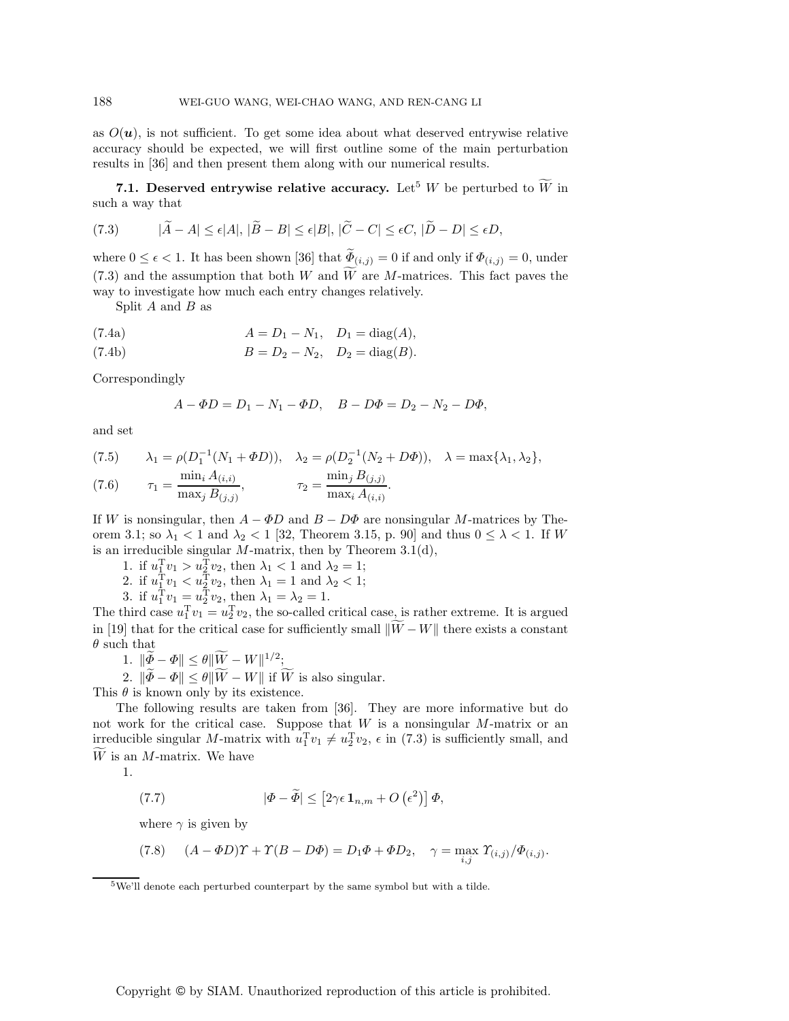as  $O(u)$ , is not sufficient. To get some idea about what deserved entrywise relative accuracy should be expected, we will first outline some of the main perturbation results in [36] and then present them along with our numerical results.

**7.1. Deserved entrywise relative accuracy.** Let<sup>5</sup> W be perturbed to  $\widetilde{W}$  in such a way that

(7.3) 
$$
|\widetilde{A} - A| \leq \epsilon |A|, |\widetilde{B} - B| \leq \epsilon |B|, |\widetilde{C} - C| \leq \epsilon C, |\widetilde{D} - D| \leq \epsilon D,
$$

where  $0 \leq \epsilon < 1$ . It has been shown [36] that  $\widetilde{\Phi}_{(i,j)} = 0$  if and only if  $\Phi_{(i,j)} = 0$ , under  $(7.3)$  and the assumption that both W and W are M-matrices. This fact paves the way to investigate how much each entry changes relatively way to investigate how much each entry changes relatively.

Split  $A$  and  $B$  as

(7.4a) 
$$
A = D_1 - N_1
$$
,  $D_1 = \text{diag}(A)$ ,

(7.4b) 
$$
B = D_2 - N_2, \quad D_2 = \text{diag}(B).
$$

Correspondingly

$$
A - \Phi D = D_1 - N_1 - \Phi D, \quad B - D\Phi = D_2 - N_2 - D\Phi,
$$

and set

(7.5) 
$$
\lambda_1 = \rho(D_1^{-1}(N_1 + \Phi D)), \quad \lambda_2 = \rho(D_2^{-1}(N_2 + D\Phi)), \quad \lambda = \max\{\lambda_1, \lambda_2\},
$$

$$
\tau_1 = \frac{\min_i A_{(i,i)}}{\max_j B_{(j,j)}}, \qquad \tau_2 = \frac{\min_j B_{(j,j)}}{\max_i A_{(i,i)}}.
$$

If W is nonsingular, then  $A - \Phi D$  and  $B - D\Phi$  are nonsingular M-matrices by Theorem 3.1; so  $\lambda_1 < 1$  and  $\lambda_2 < 1$  [32, Theorem 3.15, p. 90] and thus  $0 \leq \lambda < 1$ . If W is an irreducible singular  $M$ -matrix, then by Theorem 3.1(d),

1. if  $u_1^Tv_1 > u_2^Tv_2$ , then  $\lambda_1 < 1$  and  $\lambda_2 = 1$ ;<br>2. if  $u_1^Tv_1 < u_2^Tv_2$ , then  $\lambda_1 = 1$  and  $\lambda_2 < 1$ ;

2. if  $u_1^{\text{T}}v_1 < u_2^{\text{T}}v_2$ , then  $\lambda_1 = 1$  and  $\lambda_2 < 1$ ;<br>3. if  $u_1^{\text{T}}v_1 = u_1^{\text{T}}v_2$ , then  $\lambda_1 = \lambda_2 = 1$ 

3. if  $u_1^{\mathsf{T}} v_1 = u_2^{\mathsf{T}} v_2$ , then  $\lambda_1 = \lambda_2 = 1$ .<br>hird case  $u_1^{\mathsf{T}} v_1 = u_1^{\mathsf{T}} v_2$ , the so-called

The third case  $u_1^T v_1 = u_2^T v_2$ , the so-called critical case, is rather extreme. It is argued<br>in [10] that for the evitical case for sufficiently small  $\widetilde{W}$ .  $W^{\parallel}$  there evits a constant in [19] that for the critical case for sufficiently small  $||W - W||$  there exists a constant  $\theta$  such that  $\theta$  such that

1.  $\|\widetilde{\Phi} - \Phi\| \leq \theta \|\widetilde{W} - W\|^{1/2};$ <br>2.  $\|\widetilde{\mathfrak{F}} - \Phi\| < \theta \|\widetilde{W}\|$  Will if  $\widetilde{\mathfrak{f}}$ 

2.  $\|\Phi - \Phi\| \le \theta \|W - W\|$  if W is also singular.<br> $\theta$  is known only by its existence

This  $\theta$  is known only by its existence.

The following results are taken from [36]. They are more informative but do not work for the critical case. Suppose that  $W$  is a nonsingular  $M$ -matrix or an irreducible singular M-matrix with  $u_1^T v_1 \neq u_2^T v_2$ ,  $\epsilon$  in (7.3) is sufficiently small, and  $\widetilde{W}$  is an M matrix. We have  $W$  is an  $M$ -matrix. We have

1.

(7.7) 
$$
|\Phi - \widetilde{\Phi}| \leq [2\gamma \epsilon \mathbf{1}_{n,m} + O\left(\epsilon^2\right)] \Phi,
$$

where  $\gamma$  is given by

(7.8) 
$$
(A - \Phi D)\Upsilon + \Upsilon(B - D\Phi) = D_1\Phi + \Phi D_2, \quad \gamma = \max_{i,j} \Upsilon_{(i,j)}/\Phi_{(i,j)}.
$$

<sup>5</sup>We'll denote each perturbed counterpart by the same symbol but with a tilde.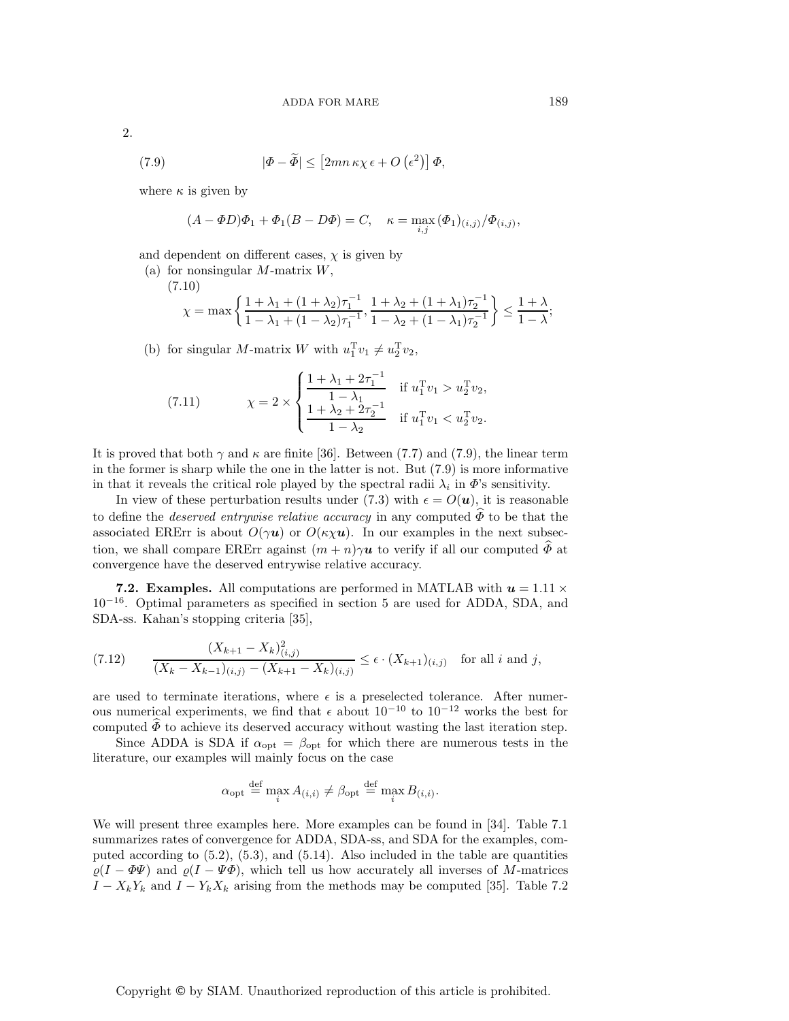2.

(7.9) 
$$
|\Phi - \widetilde{\Phi}| \le [2mn\,\kappa\chi\,\epsilon + O\left(\epsilon^2\right)]\,\Phi,
$$

where  $\kappa$  is given by

 $(7)$ 

$$
(A-\varPhi D)\varPhi_1+\varPhi_1(B-D\varPhi)=C,\quad \kappa=\max_{i,j}\,(\varPhi_1)_{(i,j)}/\varPhi_{(i,j)},
$$

and dependent on different cases,  $\chi$  is given by

(a) for nonsingular  $M$ -matrix  $W$ ,

$$
\chi = \max \left\{ \frac{1 + \lambda_1 + (1 + \lambda_2)\tau_1^{-1}}{1 - \lambda_1 + (1 - \lambda_2)\tau_1^{-1}}, \frac{1 + \lambda_2 + (1 + \lambda_1)\tau_2^{-1}}{1 - \lambda_2 + (1 - \lambda_1)\tau_2^{-1}} \right\} \le \frac{1 + \lambda}{1 - \lambda};
$$

(b) for singular M-matrix W with  $u_1^T v_1 \neq u_2^T v_2$ ,

(7.11) 
$$
\chi = 2 \times \begin{cases} \frac{1 + \lambda_1 + 2\tau_1^{-1}}{1 - \lambda_1} & \text{if } u_1^{\mathrm{T}} v_1 > u_2^{\mathrm{T}} v_2, \\ \frac{1 + \lambda_2 + 2\tau_2^{-1}}{1 - \lambda_2} & \text{if } u_1^{\mathrm{T}} v_1 < u_2^{\mathrm{T}} v_2. \end{cases}
$$

It is proved that both  $\gamma$  and  $\kappa$  are finite [36]. Between (7.7) and (7.9), the linear term in the former is sharp while the one in the latter is not. But (7.9) is more informative in that it reveals the critical role played by the spectral radii  $\lambda_i$  in  $\Phi$ 's sensitivity.

In view of these perturbation results under (7.3) with  $\epsilon = O(\boldsymbol{u})$ , it is reasonable to define the *deserved entrywise relative accuracy* in any computed  $\widehat{\Phi}$  to be that the associated ERErr is about  $O(\gamma u)$  or  $O(\kappa \chi u)$ . In our examples in the next subsection, we shall compare ERErr against  $(m + n)\gamma u$  to verify if all our computed  $\widehat{\Phi}$  at convergence have the deserved entrywise relative accuracy.

**7.2. Examples.** All computations are performed in MATLAB with  $u = 1.11 \times$ 10−<sup>16</sup>. Optimal parameters as specified in section 5 are used for ADDA, SDA, and SDA-ss. Kahan's stopping criteria [35],

(7.12) 
$$
\frac{(X_{k+1} - X_k)_{(i,j)}^2}{(X_k - X_{k-1})_{(i,j)} - (X_{k+1} - X_k)_{(i,j)}} \le \epsilon \cdot (X_{k+1})_{(i,j)} \text{ for all } i \text{ and } j,
$$

are used to terminate iterations, where  $\epsilon$  is a preselected tolerance. After numerous numerical experiments, we find that  $\epsilon$  about  $10^{-10}$  to  $10^{-12}$  works the best for computed  $\widehat{\Phi}$  to achieve its deserved accuracy without wasting the last iteration step.

Since ADDA is SDA if  $\alpha_{\text{opt}} = \beta_{\text{opt}}$  for which there are numerous tests in the literature, our examples will mainly focus on the case

$$
\alpha_{\text{opt}} \stackrel{\text{def}}{=} \max_{i} A_{(i,i)} \neq \beta_{\text{opt}} \stackrel{\text{def}}{=} \max_{i} B_{(i,i)}.
$$

We will present three examples here. More examples can be found in [34]. Table 7.1 summarizes rates of convergence for ADDA, SDA-ss, and SDA for the examples, computed according to (5.2), (5.3), and (5.14). Also included in the table are quantities  $\varrho(I - \Phi \Psi)$  and  $\varrho(I - \Psi \Phi)$ , which tell us how accurately all inverses of M-matrices  $I - X_kY_k$  and  $I - Y_kX_k$  arising from the methods may be computed [35]. Table 7.2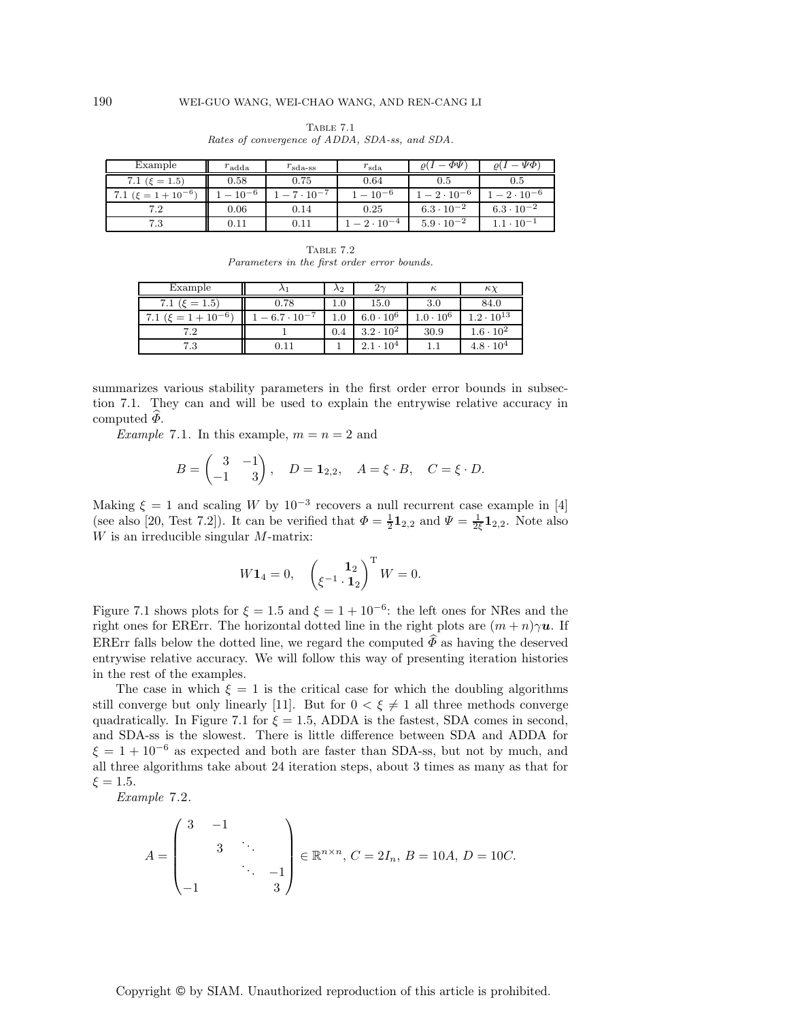| Example                   | $r_{\rm adda}$ | $r_{\rm sda\text{-}ss}$ | $r_{\rm sda}$ | $-\varPhi\Psi$           | $-\Psi\Phi$                       |
|---------------------------|----------------|-------------------------|---------------|--------------------------|-----------------------------------|
| 7.1 ( $\xi = 1.5$ )       | 0.58           | 0.75                    | 0.64          | 0.5                      | $\rm 0.5$                         |
| 7.1 $(\xi = 1 + 10^{-6})$ | $-10^{-6}$     | $7 \cdot 10^{-7}$       | $-10^{-6}$    | $\tau = 2 \cdot 10^{-6}$ | $\degree$ $-$ 2 $\cdot$ $10^{-6}$ |
| 7.2                       | 0.06           | 0.14                    | 0.25          | $6.3 \cdot 10^{-2}$      | $6.3 \cdot 10^{-2}$               |
| 7.3                       | 0.11           | 0.11                    | $-2.10^{-4}$  | $5.9 \cdot 10^{-2}$      | $1.1\cdot 10^{-1}$                |

Table 7.1 Rates of convergence of ADDA, SDA-ss, and SDA.

Table 7.2 Parameters in the first order error bounds.

| Example                     |                      | $\lambda_2$ |                    | $\kappa$           | $\kappa$            |
|-----------------------------|----------------------|-------------|--------------------|--------------------|---------------------|
| 7.1 ( $\xi = 1.5$ )         | 0.78                 | 1.0         | 15.0               | 3.0                | 84.0                |
| 7.1 ( $\xi = 1 + 10^{-6}$ ) | $-6.7 \cdot 10^{-7}$ | 1.0         | $6.0 \cdot 10^{6}$ | $1.0 \cdot 10^{6}$ | $1.2 \cdot 10^{13}$ |
| 7.2                         |                      | 0.4         | $3.2 \cdot 10^{2}$ | 30.9               | $1.6 \cdot 10^{2}$  |
| 7.3                         | $\rm 0.11$           |             | $2.1 \cdot 10^{4}$ |                    | $4.8 \cdot 10^{4}$  |

summarizes various stability parameters in the first order error bounds in subsection 7.1. They can and will be used to explain the entrywise relative accuracy in computed  $\overline{\Phi}$ .

*Example* 7.1. In this example,  $m = n = 2$  and

$$
B = \begin{pmatrix} 3 & -1 \\ -1 & 3 \end{pmatrix}, \quad D = \mathbf{1}_{2,2}, \quad A = \xi \cdot B, \quad C = \xi \cdot D.
$$

Making  $\xi = 1$  and scaling W by 10<sup>-3</sup> recovers a null recurrent case example in [4] (see also [20, Test 7.2]). It can be verified that  $\Phi = \frac{1}{2} \mathbf{1}_{2,2}$  and  $\Psi = \frac{1}{2} \mathbf{1}_{2,2}$ . Note also W is an irreducible singular M-matrix: W is an irreducible singular M-matrix:

$$
W\mathbf{1}_4 = 0, \quad \begin{pmatrix} \mathbf{1}_2 \\ \xi^{-1} \cdot \mathbf{1}_2 \end{pmatrix}^\mathrm{T} W = 0.
$$

Figure 7.1 shows plots for  $\xi = 1.5$  and  $\xi = 1 + 10^{-6}$ : the left ones for NRes and the right ones for ERErr. The horizontal dotted line in the right plots are  $(m + n)\gamma u$ . If ERErr falls below the dotted line, we regard the computed  $\overline{\Phi}$  as having the deserved entrywise relative accuracy. We will follow this way of presenting iteration histories in the rest of the examples.

The case in which  $\xi = 1$  is the critical case for which the doubling algorithms still converge but only linearly [11]. But for  $0 < \xi \neq 1$  all three methods converge quadratically. In Figure 7.1 for  $\xi = 1.5$ , ADDA is the fastest, SDA comes in second, and SDA-ss is the slowest. There is little difference between SDA and ADDA for  $\xi = 1 + 10^{-6}$  as expected and both are faster than SDA-ss, but not by much, and all three algorithms take about 24 iteration steps, about 3 times as many as that for  $\xi = 1.5$ .

*Example* 7.2.

$$
A = \begin{pmatrix} 3 & -1 & & \\ & 3 & \ddots & \\ & & \ddots & -1 \\ -1 & & & 3 \end{pmatrix} \in \mathbb{R}^{n \times n}, C = 2I_n, B = 10A, D = 10C.
$$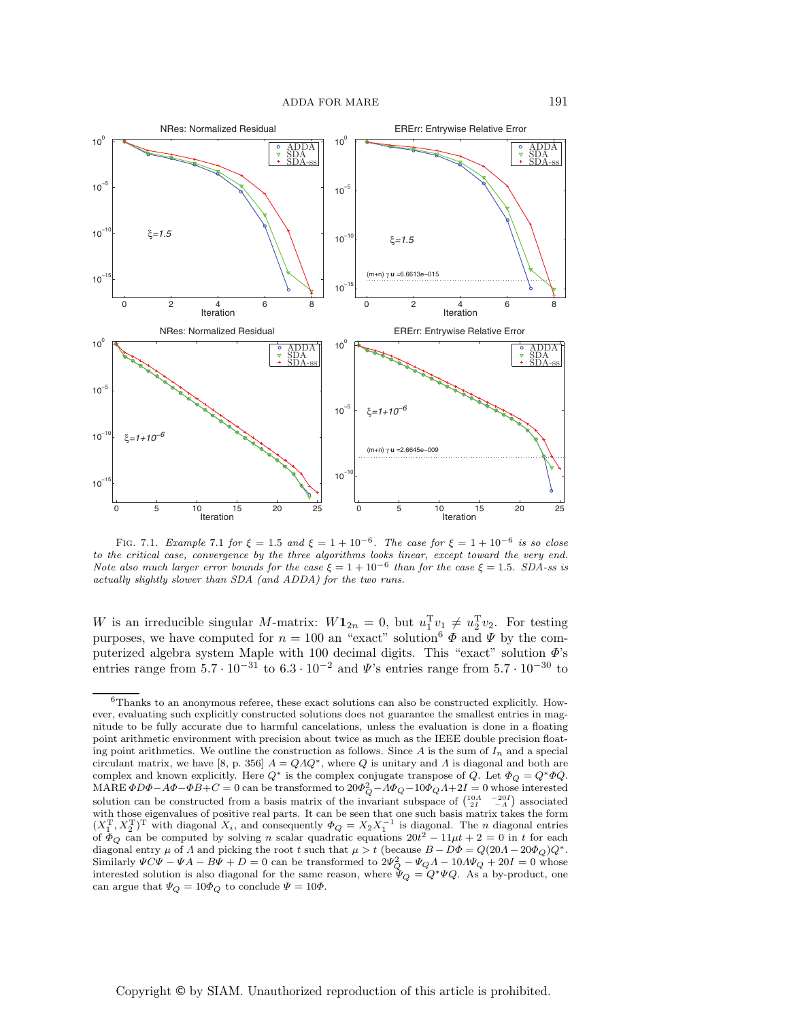

FIG. 7.1. Example 7.1 for  $\xi = 1.5$  and  $\xi = 1 + 10^{-6}$ . The case for  $\xi = 1 + 10^{-6}$  is so close to the critical case, convergence by the three algorithms looks linear, except toward the very end. Note also much larger error bounds for the case  $\xi = 1 + 10^{-6}$  than for the case  $\xi = 1.5$ . SDA-ss is actually slightly slower than SDA (and ADDA) for the two runs.

W is an irreducible singular M-matrix:  $W\mathbf{1}_{2n} = 0$ , but  $u_1^T v_1 \neq u_2^T v_2$ . For testing purposes we have computed for  $n = 100$  an "expet" solution<sup>6</sup>  $\Phi$  and  $W$  by the compurposes, we have computed for  $n = 100$  an "exact" solution<sup>6</sup>  $\vec{\Phi}$  and  $\vec{\Psi}$  by the com-<br>puterized algebra system Maple with 100 decimal digits. This "exact" solution  $\vec{\Phi}$ . puterized algebra system Maple with 100 decimal digits. This "exact" solution  $\Phi$ 's entries range from  $5.7 \cdot 10^{-31}$  to  $6.3 \cdot 10^{-2}$  and  $\Psi$ 's entries range from  $5.7 \cdot 10^{-30}$  to

 $6$ Thanks to an anonymous referee, these exact solutions can also be constructed explicitly. However, evaluating such explicitly constructed solutions does not guarantee the smallest entries in magnitude to be fully accurate due to harmful cancelations, unless the evaluation is done in a floating point arithmetic environment with precision about twice as much as the IEEE double precision floating point arithmetics. We outline the construction as follows. Since A is the sum of I*<sup>n</sup>* and a special circulant matrix, we have [8, p. 356]  $A = QAQ^*$ , where Q is unitary and A is diagonal and both are complex and known explicitly. Here  $Q^*$  is the complex conjugate transpose of Q. Let  $\Phi_Q = Q^* \Phi Q$ . MARE  $\Phi D\Phi - A\Phi - \Phi B + C = 0$  can be transformed to  $20\Phi_Q^2 - A\Phi_Q - 10\Phi_Q A + 2I = 0$  whose interested solution can be constructed from a basis matrix of the invariant subspace of  $\begin{pmatrix} 10A & -20I \\ 2I & -A \end{pmatrix}$  associated with those eigenvalues of positive real parts. It can be seen that one such basis matrix takes the form  $(X_1^T, X_2^T)^T$  with diagonal  $X_i$ , and consequently  $\Phi_Q = X_2 X_1^{-1}$  is diagonal. The *n* diagonal entries of  $\Phi_Q$  can be computed by solving n scalar quadratic equations  $20t^2 - 11\mu t + 2 = 0$  in t for each diagonal entry  $\mu$  of  $\Lambda$  and picking the root t such that  $\mu > t$  (because  $B - D\Phi = Q(20\Lambda - 20\Phi_Q)Q^*$ . Similarly  $\Psi C\Psi - \Psi A - B\Psi + D = 0$  can be transformed to  $2\Psi_Q^2 - \Psi_Q A - 10A\Psi_Q + 20I = 0$  whose<br>interested solution is also diagonal for the same reason, where  $\Psi_Q = Q^* \Psi Q$ . As a by-product, one can argue that  $\Psi_Q = 10\Phi_Q$  to conclude  $\Psi = 10\Phi$ .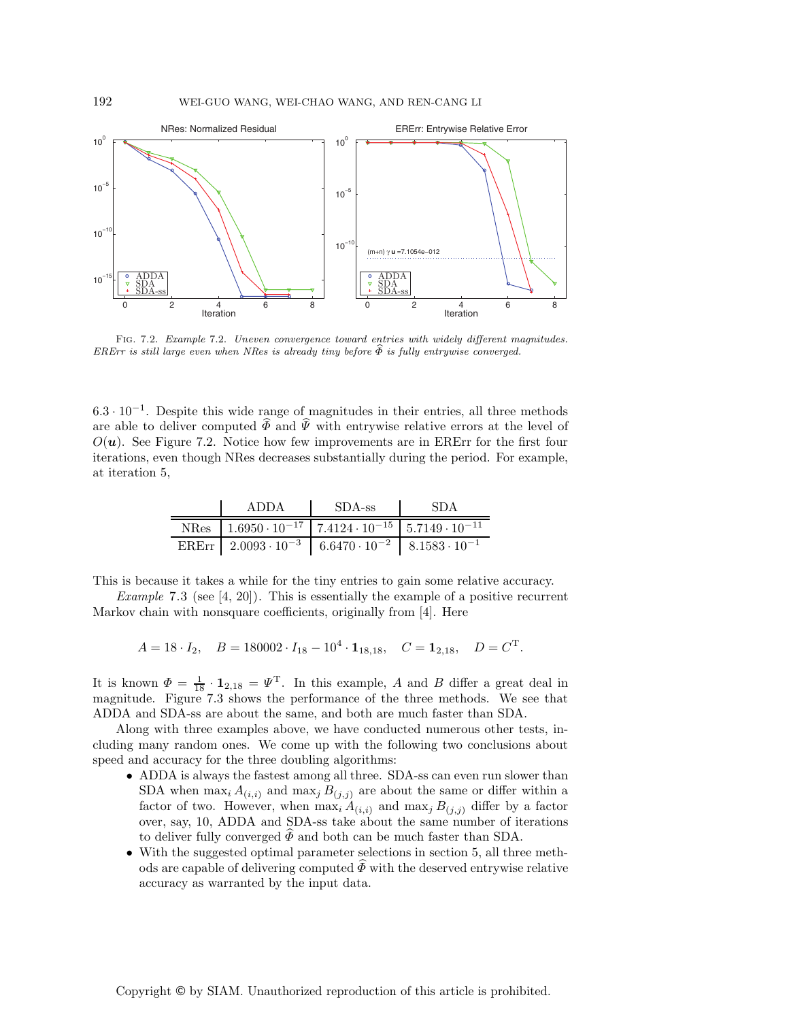

Fig. 7.2. Example 7.2. Uneven convergence toward entries with widely different magnitudes. ERErr is still large even when NRes is already tiny before  $\widehat{\Phi}$  is fully entrywise converged.

 $6.3 \cdot 10^{-1}$ . Despite this wide range of magnitudes in their entries, all three methods are able to deliver computed  $\widehat{\Phi}$  and  $\widehat{\Psi}$  with entrywise relative errors at the level of  $O(\boldsymbol{u})$ . See Figure 7.2. Notice how few improvements are in ERErr for the first four iterations, even though NRes decreases substantially during the period. For example, at iteration 5,

| ADDA                                                                               | $\mathsf{IDA}\text{-ss}$ | - SDA |
|------------------------------------------------------------------------------------|--------------------------|-------|
| NRes   $1.6950 \cdot 10^{-17}$   $7.4124 \cdot 10^{-15}$   $5.7149 \cdot 10^{-11}$ |                          |       |
| ERErr   $2.0093 \cdot 10^{-3}$   $6.6470 \cdot 10^{-2}$   $8.1583 \cdot 10^{-1}$   |                          |       |

This is because it takes a while for the tiny entries to gain some relative accuracy.

*Example* 7.3 (see [4, 20]). This is essentially the example of a positive recurrent Markov chain with nonsquare coefficients, originally from [4]. Here

 $A = 18 \cdot I_2$ ,  $B = 180002 \cdot I_{18} - 10^4 \cdot \mathbf{1}_{18,18}$ ,  $C = \mathbf{1}_{2,18}$ ,  $D = C^{\mathrm{T}}$ .

It is known  $\Phi = \frac{1}{18} \cdot \mathbf{1}_{2,18} = \Psi^T$ . In this example, A and B differ a great deal in magnitude. Figure 7.3 shows the performance of the three methods. We see that magnitude. Figure 7.3 shows the performance of the three methods. We see that ADDA and SDA-ss are about the same, and both are much faster than SDA.

Along with three examples above, we have conducted numerous other tests, including many random ones. We come up with the following two conclusions about speed and accuracy for the three doubling algorithms:

- ADDA is always the fastest among all three. SDA-ss can even run slower than SDA when  $\max_i A_{(i,i)}$  and  $\max_j B_{(j,j)}$  are about the same or differ within a<br>factor of two However, when  $\max_i A_{(i,j)}$  and  $\max_i B_{(i,j)}$  differ by a factor factor of two. However, when  $\max_i A_{(i,i)}$  and  $\max_j B_{(j,j)}$  differ by a factor<br>over say 10. ADDA and SDA-ss take about the same number of iterations over, say, 10, ADDA and SDA-ss take about the same number of iterations to deliver fully converged  $\Phi$  and both can be much faster than SDA.
- With the suggested optimal parameter selections in section 5, all three methods are capable of delivering computed  $\Phi$  with the deserved entrywise relative accuracy as warranted by the input data.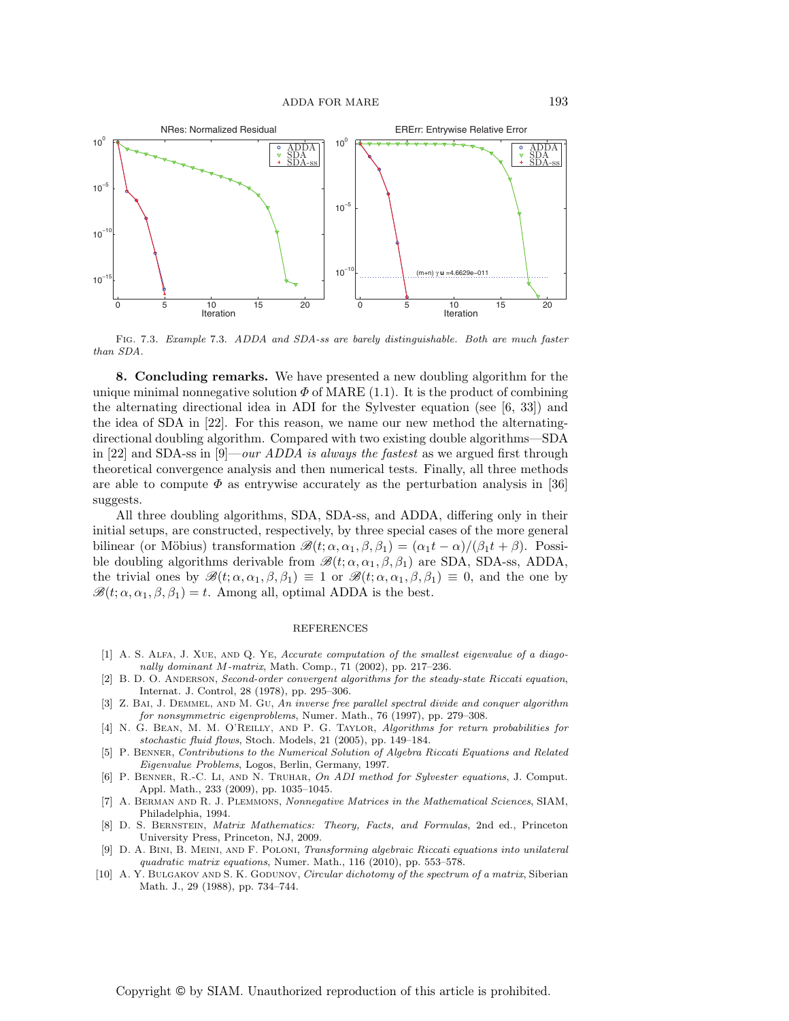

Fig. 7.3. Example 7.3. ADDA and SDA-ss are barely distinguishable. Both are much faster than SDA.

**8. Concluding remarks.** We have presented a new doubling algorithm for the unique minimal nonnegative solution  $\Phi$  of MARE (1.1). It is the product of combining the alternating directional idea in ADI for the Sylvester equation (see [6, 33]) and the idea of SDA in [22]. For this reason, we name our new method the alternatingdirectional doubling algorithm. Compared with two existing double algorithms—SDA in [22] and SDA-ss in [9]—*our ADDA is always the fastest* as we argued first through theoretical convergence analysis and then numerical tests. Finally, all three methods are able to compute  $\Phi$  as entrywise accurately as the perturbation analysis in [36] suggests.

All three doubling algorithms, SDA, SDA-ss, and ADDA, differing only in their initial setups, are constructed, respectively, by three special cases of the more general bilinear (or Möbius) transformation  $\mathscr{B}(t; \alpha, \alpha_1, \beta, \beta_1) = (\alpha_1 t - \alpha)/(\beta_1 t + \beta)$ . Possible doubling algorithms derivable from  $\mathcal{B}(t; \alpha, \alpha_1, \beta, \beta_1)$  are SDA, SDA-ss, ADDA, the trivial ones by  $\mathscr{B}(t; \alpha, \alpha_1, \beta, \beta_1) \equiv 1$  or  $\mathscr{B}(t; \alpha, \alpha_1, \beta, \beta_1) \equiv 0$ , and the one by  $\mathscr{B}(t; \alpha, \alpha_1, \beta, \beta_1) = t$ . Among all, optimal ADDA is the best.

## REFERENCES

- [1] A. S. Alfa, J. Xue, and Q. Ye, Accurate computation of the smallest eigenvalue of a diagonally dominant M-matrix, Math. Comp., 71 (2002), pp. 217–236.
- [2] B. D. O. ANDERSON, Second-order convergent algorithms for the steady-state Riccati equation, Internat. J. Control, 28 (1978), pp. 295–306.
- [3] Z. BAI, J. DEMMEL, AND M. GU, An inverse free parallel spectral divide and conquer algorithm for nonsymmetric eigenproblems, Numer. Math., 76 (1997), pp. 279–308.
- [4] N. G. BEAN, M. M. O'REILLY, AND P. G. TAYLOR, Algorithms for return probabilities for stochastic fluid flows, Stoch. Models, 21 (2005), pp. 149–184.
- [5] P. Benner, Contributions to the Numerical Solution of Algebra Riccati Equations and Related Eigenvalue Problems, Logos, Berlin, Germany, 1997.
- [6] P. Benner, R.-C. Li, and N. Truhar, On ADI method for Sylvester equations, J. Comput. Appl. Math., 233 (2009), pp. 1035–1045.
- [7] A. Berman and R. J. Plemmons, Nonnegative Matrices in the Mathematical Sciences, SIAM, Philadelphia, 1994.
- [8] D. S. Bernstein, Matrix Mathematics: Theory, Facts, and Formulas, 2nd ed., Princeton University Press, Princeton, NJ, 2009.
- [9] D. A. Bini, B. Meini, and F. Poloni, Transforming algebraic Riccati equations into unilateral quadratic matrix equations, Numer. Math., 116 (2010), pp. 553–578.
- [10] A. Y. BULGAKOV AND S. K. GODUNOV, *Circular dichotomy of the spectrum of a matrix*, Siberian Math. J., 29 (1988), pp. 734–744.